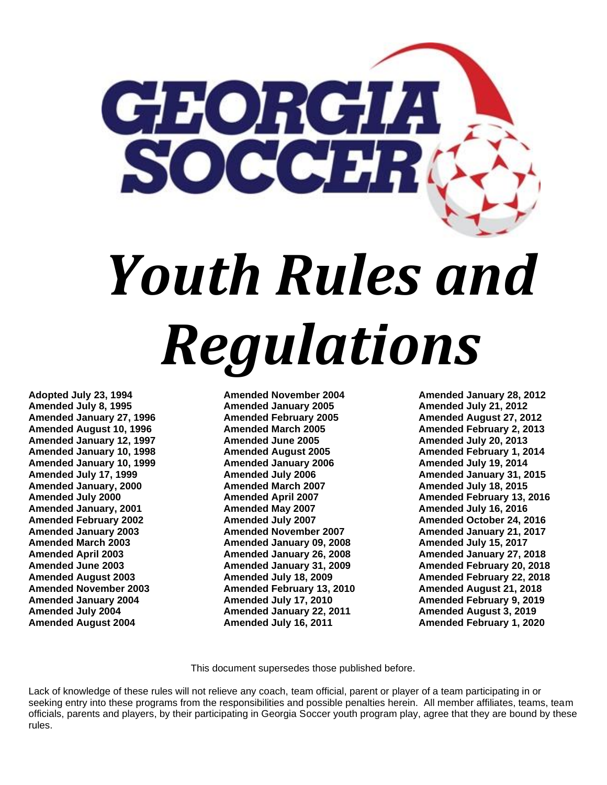

**Adopted July 23, 1994 Amended July 8, 1995 Amended January 27, 1996 Amended August 10, 1996 Amended January 12, 1997 Amended January 10, 1998 Amended January 10, 1999 Amended July 17, 1999 Amended January, 2000 Amended July 2000 Amended January, 2001 Amended February 2002 Amended January 2003 Amended March 2003 Amended April 2003 Amended June 2003 Amended August 2003 Amended November 2003 Amended January 2004 Amended July 2004 Amended August 2004**

**Amended November 2004 Amended January 2005 Amended February 2005 Amended March 2005 Amended June 2005 Amended August 2005 Amended January 2006 Amended July 2006 Amended March 2007 Amended April 2007 Amended May 2007 Amended July 2007 Amended November 2007 Amended January 09, 2008 Amended January 26, 2008 Amended January 31, 2009 Amended July 18, 2009 Amended February 13, 2010 Amended July 17, 2010 Amended January 22, 2011 Amended July 16, 2011**

**Amended January 28, 2012 Amended July 21, 2012 Amended August 27, 2012 Amended February 2, 2013 Amended July 20, 2013 Amended February 1, 2014 Amended July 19, 2014 Amended January 31, 2015 Amended July 18, 2015 Amended February 13, 2016 Amended July 16, 2016 Amended October 24, 2016 Amended January 21, 2017 Amended July 15, 2017 Amended January 27, 2018 Amended February 20, 2018 Amended February 22, 2018 Amended August 21, 2018 Amended February 9, 2019 Amended August 3, 2019 Amended February 1, 2020** 

This document supersedes those published before.

Lack of knowledge of these rules will not relieve any coach, team official, parent or player of a team participating in or seeking entry into these programs from the responsibilities and possible penalties herein. All member affiliates, teams, team officials, parents and players, by their participating in Georgia Soccer youth program play, agree that they are bound by these rules.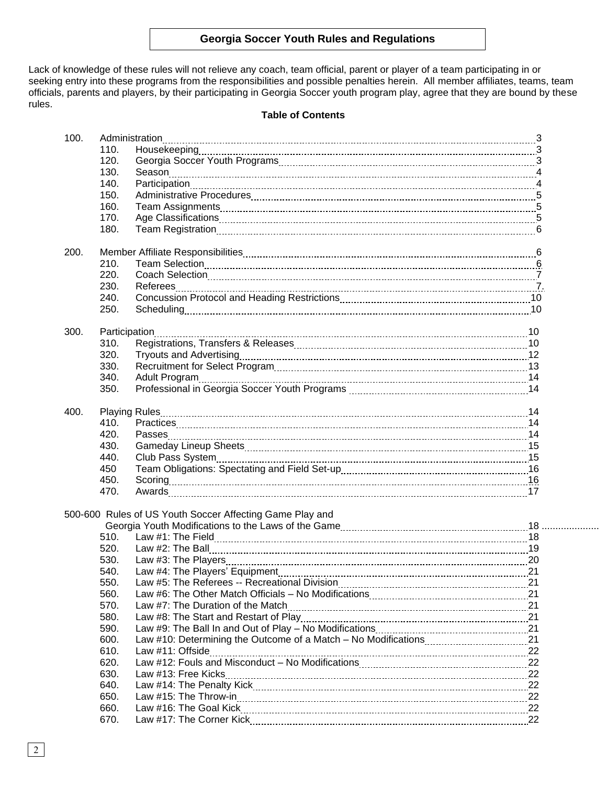Lack of knowledge of these rules will not relieve any coach, team official, parent or player of a team participating in or seeking entry into these programs from the responsibilities and possible penalties herein. All member affiliates, teams, team officials, parents and players, by their participating in Georgia Soccer youth program play, agree that they are bound by these rules.

# **Table of Contents**

| 100. | Administration |                                                          |    |  |  |
|------|----------------|----------------------------------------------------------|----|--|--|
|      | 110.           |                                                          |    |  |  |
|      | 120.           |                                                          |    |  |  |
|      | 130.           |                                                          |    |  |  |
|      | 140.           |                                                          |    |  |  |
|      | 150.           |                                                          |    |  |  |
|      | 160.           |                                                          |    |  |  |
|      | 170.           |                                                          |    |  |  |
|      | 180.           |                                                          |    |  |  |
| 200. |                |                                                          |    |  |  |
|      | 210.           |                                                          |    |  |  |
|      | 220.           |                                                          |    |  |  |
|      | 230.           |                                                          |    |  |  |
|      | 240.           |                                                          |    |  |  |
|      | 250.           |                                                          |    |  |  |
|      |                |                                                          |    |  |  |
| 300. |                |                                                          |    |  |  |
|      | 310.           |                                                          |    |  |  |
|      | 320.           |                                                          |    |  |  |
|      | 330.           |                                                          |    |  |  |
|      | 340.           |                                                          |    |  |  |
|      | 350.           |                                                          |    |  |  |
| 400. |                |                                                          |    |  |  |
|      | 410.           |                                                          |    |  |  |
|      | 420.           |                                                          |    |  |  |
|      | 430.           |                                                          |    |  |  |
|      | 440.           |                                                          |    |  |  |
|      | 450            |                                                          |    |  |  |
|      | 450.           | Scoring 16                                               |    |  |  |
|      | 470.           |                                                          |    |  |  |
|      |                | 500-600 Rules of US Youth Soccer Affecting Game Play and |    |  |  |
|      |                |                                                          |    |  |  |
|      | 510.           |                                                          |    |  |  |
|      | 520.           |                                                          |    |  |  |
|      | 530.           |                                                          |    |  |  |
|      | 540.           |                                                          | 21 |  |  |
|      | 550.           |                                                          |    |  |  |
|      | 560.           |                                                          |    |  |  |
|      | 570.           |                                                          |    |  |  |
|      | 580.           |                                                          |    |  |  |
|      | 590.           |                                                          |    |  |  |
|      | 600.           |                                                          |    |  |  |
|      | 610.           |                                                          |    |  |  |
|      | 620.           |                                                          |    |  |  |
|      | 630.           | Law #13: Free Kicks                                      | 22 |  |  |
|      | 640.           |                                                          | 22 |  |  |
|      | 650.           |                                                          |    |  |  |
|      | 660.           |                                                          |    |  |  |
|      | 670.           |                                                          | 22 |  |  |
|      |                |                                                          |    |  |  |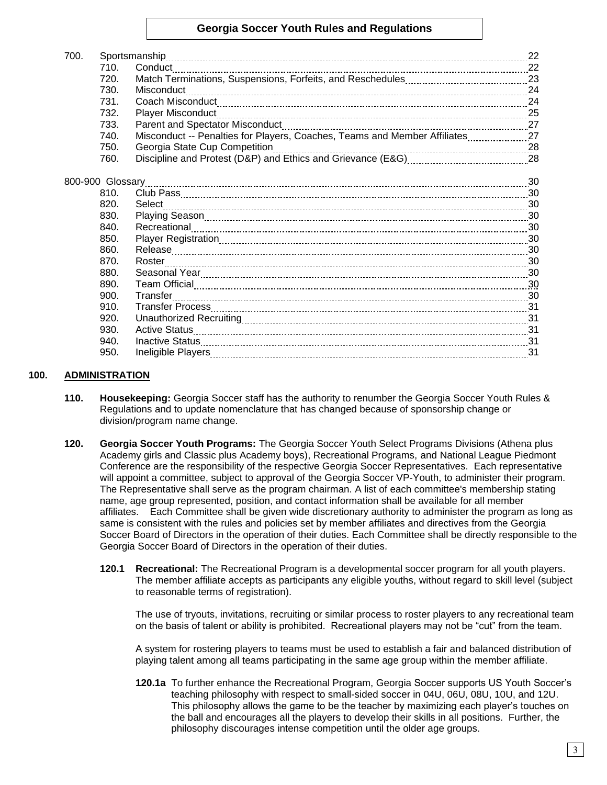| 700.             |                                                                                                                | 22 |
|------------------|----------------------------------------------------------------------------------------------------------------|----|
| 710.             | Sportsmanship                                                                                                  | 22 |
| 720.             |                                                                                                                |    |
| 730.             | Misconduct                                                                                                     | 24 |
| 731.             |                                                                                                                | 24 |
| 732.             | Player Misconduct [1, 25] Player Misconduct [1, 25] Player Misconduct [1, 25] Player Misconduct [1, 25] Player |    |
| 733.             |                                                                                                                |    |
| 740.             | Misconduct -- Penalties for Players, Coaches, Teams and Member Affiliates                                      | 27 |
| 750.             | Georgia State Cup Competition                                                                                  |    |
| 760.             |                                                                                                                |    |
|                  |                                                                                                                |    |
| 800-900 Glossary |                                                                                                                |    |
| 810.             |                                                                                                                |    |
| 820.             |                                                                                                                | 30 |
| 830.             |                                                                                                                |    |
| 840.             |                                                                                                                |    |
| 850.             |                                                                                                                | 30 |
| 860.             |                                                                                                                |    |
| 870.             |                                                                                                                |    |
| 880.             |                                                                                                                |    |
| 890.             |                                                                                                                |    |
| 900.             | Transfer                                                                                                       |    |
| 910.             |                                                                                                                | 31 |
| 920.             |                                                                                                                |    |
| 930.             |                                                                                                                |    |
| 940.             |                                                                                                                | 31 |
| 950.             |                                                                                                                |    |
|                  |                                                                                                                |    |

## **100. ADMINISTRATION**

- **110. Housekeeping:** Georgia Soccer staff has the authority to renumber the Georgia Soccer Youth Rules & Regulations and to update nomenclature that has changed because of sponsorship change or division/program name change.
- **120. Georgia Soccer Youth Programs:** The Georgia Soccer Youth Select Programs Divisions (Athena plus Academy girls and Classic plus Academy boys), Recreational Programs, and National League Piedmont Conference are the responsibility of the respective Georgia Soccer Representatives. Each representative will appoint a committee, subject to approval of the Georgia Soccer VP-Youth, to administer their program. The Representative shall serve as the program chairman. A list of each committee's membership stating name, age group represented, position, and contact information shall be available for all member affiliates. Each Committee shall be given wide discretionary authority to administer the program as long as same is consistent with the rules and policies set by member affiliates and directives from the Georgia Soccer Board of Directors in the operation of their duties. Each Committee shall be directly responsible to the Georgia Soccer Board of Directors in the operation of their duties.
	- **120.1 Recreational:** The Recreational Program is a developmental soccer program for all youth players. The member affiliate accepts as participants any eligible youths, without regard to skill level (subject to reasonable terms of registration).

The use of tryouts, invitations, recruiting or similar process to roster players to any recreational team on the basis of talent or ability is prohibited. Recreational players may not be "cut" from the team.

A system for rostering players to teams must be used to establish a fair and balanced distribution of playing talent among all teams participating in the same age group within the member affiliate.

**120.1a** To further enhance the Recreational Program, Georgia Soccer supports US Youth Soccer's teaching philosophy with respect to small-sided soccer in 04U, 06U, 08U, 10U, and 12U. This philosophy allows the game to be the teacher by maximizing each player's touches on the ball and encourages all the players to develop their skills in all positions. Further, the philosophy discourages intense competition until the older age groups.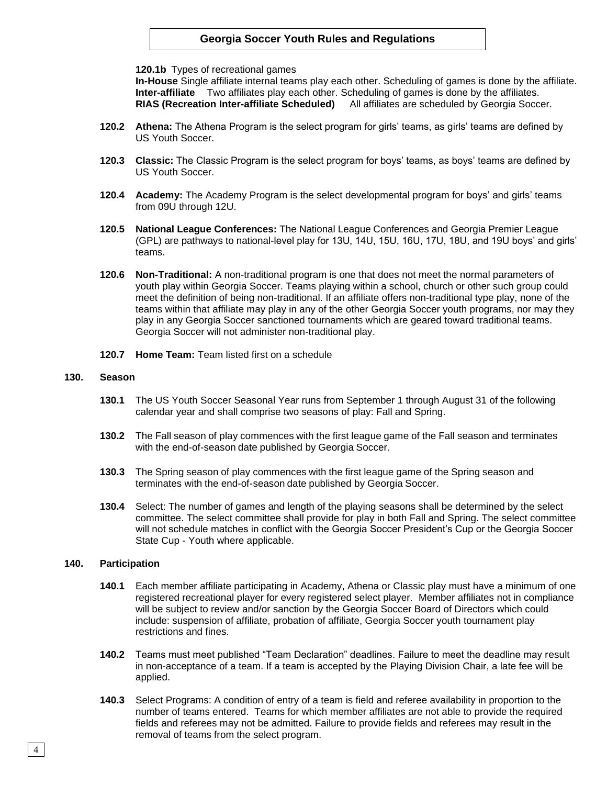**120.1b** Types of recreational games

**In-House** Single affiliate internal teams play each other. Scheduling of games is done by the affiliate. **Inter-affiliate** Two affiliates play each other. Scheduling of games is done by the affiliates. **RIAS (Recreation Inter-affiliate Scheduled)** All affiliates are scheduled by Georgia Soccer.

- **120.2 Athena:** The Athena Program is the select program for girls' teams, as girls' teams are defined by US Youth Soccer.
- **120.3 Classic:** The Classic Program is the select program for boys' teams, as boys' teams are defined by US Youth Soccer.
- **120.4 Academy:** The Academy Program is the select developmental program for boys' and girls' teams from 09U through 12U.
- **120.5 National League Conferences:** The National League Conferences and Georgia Premier League (GPL) are pathways to national-level play for 13U, 14U, 15U, 16U, 17U, 18U, and 19U boys' and girls' teams.
- **120.6 Non-Traditional:** A non-traditional program is one that does not meet the normal parameters of youth play within Georgia Soccer. Teams playing within a school, church or other such group could meet the definition of being non-traditional. If an affiliate offers non-traditional type play, none of the teams within that affiliate may play in any of the other Georgia Soccer youth programs, nor may they play in any Georgia Soccer sanctioned tournaments which are geared toward traditional teams. Georgia Soccer will not administer non-traditional play.
- **120.7 Home Team:** Team listed first on a schedule

#### **130. Season**

- **130.1** The US Youth Soccer Seasonal Year runs from September 1 through August 31 of the following calendar year and shall comprise two seasons of play: Fall and Spring.
- **130.2** The Fall season of play commences with the first league game of the Fall season and terminates with the end-of-season date published by Georgia Soccer.
- **130.3** The Spring season of play commences with the first league game of the Spring season and terminates with the end-of-season date published by Georgia Soccer.
- **130.4** Select: The number of games and length of the playing seasons shall be determined by the select committee. The select committee shall provide for play in both Fall and Spring. The select committee will not schedule matches in conflict with the Georgia Soccer President's Cup or the Georgia Soccer State Cup - Youth where applicable.

#### **140. Participation**

- **140.1** Each member affiliate participating in Academy, Athena or Classic play must have a minimum of one registered recreational player for every registered select player. Member affiliates not in compliance will be subject to review and/or sanction by the Georgia Soccer Board of Directors which could include: suspension of affiliate, probation of affiliate, Georgia Soccer youth tournament play restrictions and fines.
- **140.2** Teams must meet published "Team Declaration" deadlines. Failure to meet the deadline may result in non-acceptance of a team. If a team is accepted by the Playing Division Chair, a late fee will be applied.
- **140.3** Select Programs: A condition of entry of a team is field and referee availability in proportion to the number of teams entered. Teams for which member affiliates are not able to provide the required fields and referees may not be admitted. Failure to provide fields and referees may result in the removal of teams from the select program.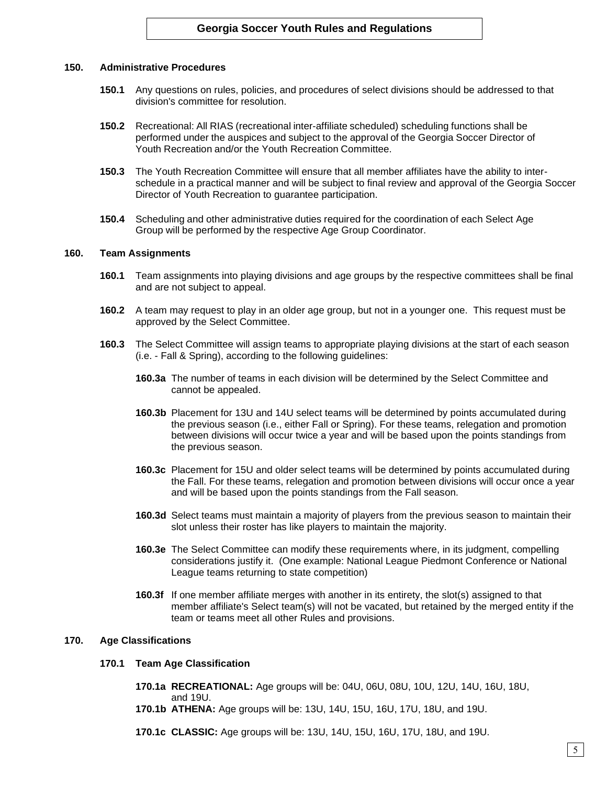## **150. Administrative Procedures**

- **150.1** Any questions on rules, policies, and procedures of select divisions should be addressed to that division's committee for resolution.
- **150.2** Recreational: All RIAS (recreational inter-affiliate scheduled) scheduling functions shall be performed under the auspices and subject to the approval of the Georgia Soccer Director of Youth Recreation and/or the Youth Recreation Committee.
- **150.3** The Youth Recreation Committee will ensure that all member affiliates have the ability to interschedule in a practical manner and will be subject to final review and approval of the Georgia Soccer Director of Youth Recreation to guarantee participation.
- **150.4** Scheduling and other administrative duties required for the coordination of each Select Age Group will be performed by the respective Age Group Coordinator.

### **160. Team Assignments**

- **160.1** Team assignments into playing divisions and age groups by the respective committees shall be final and are not subject to appeal.
- **160.2** A team may request to play in an older age group, but not in a younger one. This request must be approved by the Select Committee.
- **160.3** The Select Committee will assign teams to appropriate playing divisions at the start of each season (i.e. - Fall & Spring), according to the following guidelines:
	- **160.3a** The number of teams in each division will be determined by the Select Committee and cannot be appealed.
	- **160.3b** Placement for 13U and 14U select teams will be determined by points accumulated during the previous season (i.e., either Fall or Spring). For these teams, relegation and promotion between divisions will occur twice a year and will be based upon the points standings from the previous season.
	- **160.3c** Placement for 15U and older select teams will be determined by points accumulated during the Fall. For these teams, relegation and promotion between divisions will occur once a year and will be based upon the points standings from the Fall season.
	- **160.3d** Select teams must maintain a majority of players from the previous season to maintain their slot unless their roster has like players to maintain the majority.
	- **160.3e** The Select Committee can modify these requirements where, in its judgment, compelling considerations justify it. (One example: National League Piedmont Conference or National League teams returning to state competition)
	- **160.3f** If one member affiliate merges with another in its entirety, the slot(s) assigned to that member affiliate's Select team(s) will not be vacated, but retained by the merged entity if the team or teams meet all other Rules and provisions.

## **170. Age Classifications**

- **170.1 Team Age Classification**
	- **170.1a RECREATIONAL:** Age groups will be: 04U, 06U, 08U, 10U, 12U, 14U, 16U, 18U, and 19U.
	- **170.1b ATHENA:** Age groups will be: 13U, 14U, 15U, 16U, 17U, 18U, and 19U.
	- **170.1c CLASSIC:** Age groups will be: 13U, 14U, 15U, 16U, 17U, 18U, and 19U.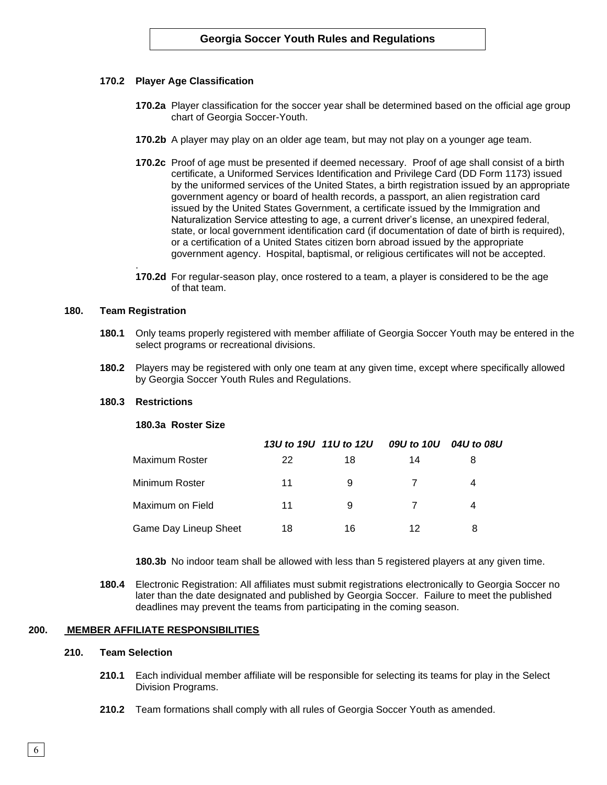## **170.2 Player Age Classification**

- **170.2a** Player classification for the soccer year shall be determined based on the official age group chart of Georgia Soccer-Youth.
- **170.2b** A player may play on an older age team, but may not play on a younger age team.
- **170.2c** Proof of age must be presented if deemed necessary. Proof of age shall consist of a birth certificate, a Uniformed Services Identification and Privilege Card (DD Form 1173) issued by the uniformed services of the United States, a birth registration issued by an appropriate government agency or board of health records, a passport, an alien registration card issued by the United States Government, a certificate issued by the Immigration and Naturalization Service attesting to age, a current driver's license, an unexpired federal, state, or local government identification card (if documentation of date of birth is required), or a certification of a United States citizen born abroad issued by the appropriate government agency. Hospital, baptismal, or religious certificates will not be accepted.
- **170.2d** For regular-season play, once rostered to a team, a player is considered to be the age of that team.

### **180. Team Registration**

.

- **180.1** Only teams properly registered with member affiliate of Georgia Soccer Youth may be entered in the select programs or recreational divisions.
- **180.2** Players may be registered with only one team at any given time, except where specifically allowed by Georgia Soccer Youth Rules and Regulations.

#### **180.3 Restrictions**

### **180.3a Roster Size**

|                              |    | 13U to 19U 11U to 12U | 09U to 10U | 04U to 08U |
|------------------------------|----|-----------------------|------------|------------|
| Maximum Roster               | 22 | 18                    | 14         |            |
| Minimum Roster               | 11 | 9                     |            | 4          |
| Maximum on Field             | 11 | 9                     | 7          | 4          |
| <b>Game Day Lineup Sheet</b> | 18 | 16                    | 12         | 8          |

**180.3b** No indoor team shall be allowed with less than 5 registered players at any given time.

**180.4** Electronic Registration: All affiliates must submit registrations electronically to Georgia Soccer no later than the date designated and published by Georgia Soccer. Failure to meet the published deadlines may prevent the teams from participating in the coming season.

## **200. MEMBER AFFILIATE RESPONSIBILITIES**

### **210. Team Selection**

- **210.1** Each individual member affiliate will be responsible for selecting its teams for play in the Select Division Programs.
- **210.2** Team formations shall comply with all rules of Georgia Soccer Youth as amended.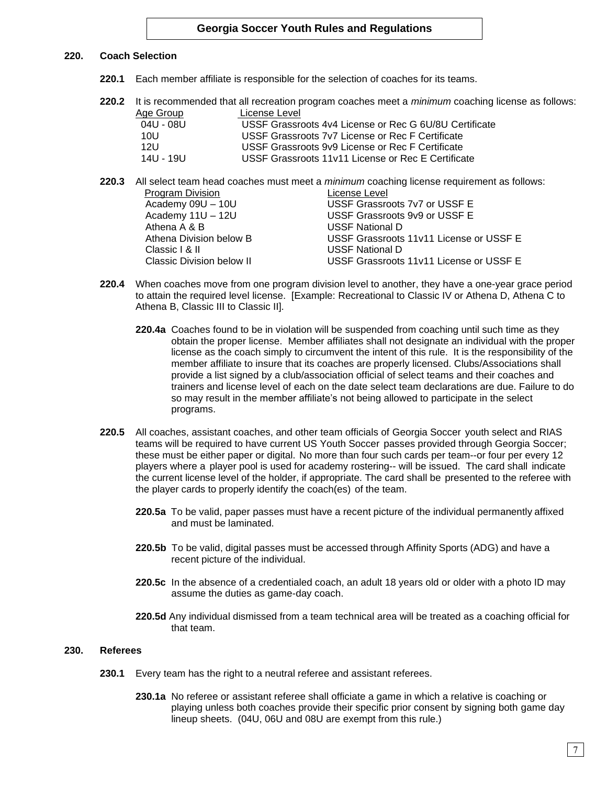# **220. Coach Selection**

- **220.1** Each member affiliate is responsible for the selection of coaches for its teams.
- **220.2** It is recommended that all recreation program coaches meet a *minimum* coaching license as follows: Age Group License Level

| $1.90$ viver | --------------                                         |
|--------------|--------------------------------------------------------|
| 04U - 08U    | USSF Grassroots 4y4 License or Rec G 6U/8U Certificate |
| 10U          | USSF Grassroots 7y7 License or Rec F Certificate       |
| 12U          | USSF Grassroots 9v9 License or Rec F Certificate       |
| 14U - 19U    | USSF Grassroots 11v11 License or Rec E Certificate     |
|              |                                                        |

- **220.3** All select team head coaches must meet a *minimum* coaching license requirement as follows: Program Division **License** Level Academy 09U – 10U USSF Grassroots 7v7 or USSF E Academy 11U – 12U USSF Grassroots 9v9 or USSF E Athena A & B USSF National D Athena Division below B USSF Grassroots 11v11 License or USSF E Classic I & II USSE National D Classic Division below II USSF Grassroots 11v11 License or USSF E
- **220.4** When coaches move from one program division level to another, they have a one-year grace period to attain the required level license. [Example: Recreational to Classic IV or Athena D, Athena C to Athena B, Classic III to Classic II].
	- **220.4a** Coaches found to be in violation will be suspended from coaching until such time as they obtain the proper license. Member affiliates shall not designate an individual with the proper license as the coach simply to circumvent the intent of this rule. It is the responsibility of the member affiliate to insure that its coaches are properly licensed. Clubs/Associations shall provide a list signed by a club/association official of select teams and their coaches and trainers and license level of each on the date select team declarations are due. Failure to do so may result in the member affiliate's not being allowed to participate in the select programs.
- **220.5** All coaches, assistant coaches, and other team officials of Georgia Soccer youth select and RIAS teams will be required to have current US Youth Soccer passes provided through Georgia Soccer; these must be either paper or digital. No more than four such cards per team--or four per every 12 players where a player pool is used for academy rostering-- will be issued. The card shall indicate the current license level of the holder, if appropriate. The card shall be presented to the referee with the player cards to properly identify the coach(es) of the team.
	- **220.5a** To be valid, paper passes must have a recent picture of the individual permanently affixed and must be laminated.
	- **220.5b** To be valid, digital passes must be accessed through Affinity Sports (ADG) and have a recent picture of the individual.
	- **220.5c** In the absence of a credentialed coach, an adult 18 years old or older with a photo ID may assume the duties as game-day coach.
	- **220.5d** Any individual dismissed from a team technical area will be treated as a coaching official for that team.

## **230. Referees**

- **230.1** Every team has the right to a neutral referee and assistant referees.
	- **230.1a** No referee or assistant referee shall officiate a game in which a relative is coaching or playing unless both coaches provide their specific prior consent by signing both game day lineup sheets. (04U, 06U and 08U are exempt from this rule.)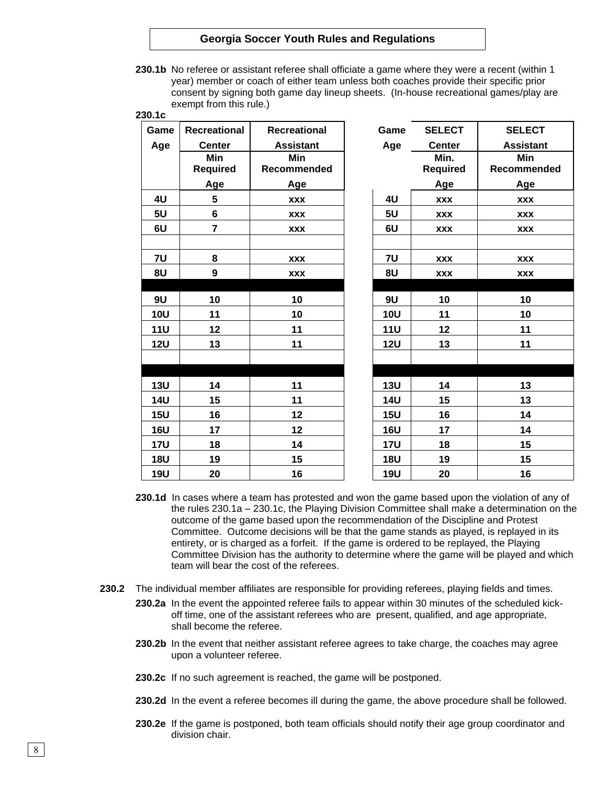**230.1b** No referee or assistant referee shall officiate a game where they were a recent (within 1 year) member or coach of either team unless both coaches provide their specific prior consent by signing both game day lineup sheets. (In-house recreational games/play are exempt from this rule.)

| 230.1c     |                                   |                     |            |                         |                  |
|------------|-----------------------------------|---------------------|------------|-------------------------|------------------|
| Game       | <b>Recreational</b>               | <b>Recreational</b> | Game       | <b>SELECT</b>           | <b>SELECT</b>    |
| Age        | <b>Center</b><br><b>Assistant</b> |                     | Age        | <b>Center</b>           | <b>Assistant</b> |
|            | <b>Min</b><br><b>Required</b>     | Min<br>Recommended  |            | Min.<br><b>Required</b> | Min<br>Recommend |
|            | Age                               | Age                 |            | Age                     | Age              |
| 4U         | 5                                 | <b>XXX</b>          | 4U         | <b>XXX</b>              | <b>XXX</b>       |
| 5U         | 6                                 | <b>XXX</b>          | 5U         | <b>XXX</b>              | <b>XXX</b>       |
| 6U         | $\overline{7}$                    | <b>XXX</b>          | 6U         | <b>XXX</b>              | <b>XXX</b>       |
| 7U         | 8                                 | <b>XXX</b>          | 7U         | <b>XXX</b>              | <b>XXX</b>       |
| 8U         | $\boldsymbol{9}$                  | <b>XXX</b>          | 8U         | <b>XXX</b>              | <b>XXX</b>       |
| 9U         | 10                                | 10                  | <b>9U</b>  | 10                      | 10               |
| <b>10U</b> | 11                                | 10                  | <b>10U</b> | 11                      | 10               |
| <b>11U</b> | 12                                | 11                  | <b>11U</b> | 12                      | 11               |
| <b>12U</b> | 13                                | 11                  | <b>12U</b> | 13                      | 11               |
|            |                                   |                     |            |                         |                  |
| <b>13U</b> | 14                                | 11                  | <b>13U</b> | 14                      | 13               |
| <b>14U</b> | 15                                | 11                  | <b>14U</b> | 15                      | 13               |
| <b>15U</b> | 16                                | 12                  | 15U        | 16                      | 14               |
| <b>16U</b> | 17                                | 12                  | <b>16U</b> | 17                      | 14               |
| <b>17U</b> | 18                                | 14                  | <b>17U</b> | 18                      | 15               |
| <b>18U</b> | 19                                | 15                  | <b>18U</b> | 19                      | 15               |
| <b>19U</b> | 20                                | 16                  | <b>19U</b> | 20                      | 16               |

| Game       | <b>SELECT</b> | <b>SELECT</b>    |
|------------|---------------|------------------|
| Age        | <b>Center</b> | <b>Assistant</b> |
|            | Min.          | Min              |
|            | Required      | Recommended      |
|            | Age           | <b>Age</b>       |
| 4U         | <b>XXX</b>    | <b>XXX</b>       |
| 5U         | <b>XXX</b>    | <b>XXX</b>       |
| 6U         | <b>XXX</b>    | <b>XXX</b>       |
|            |               |                  |
| <b>7U</b>  | <b>XXX</b>    | <b>XXX</b>       |
| 8U         | <b>XXX</b>    | <b>XXX</b>       |
|            |               |                  |
| 9U         | 10            | 10               |
| <b>10U</b> | 11            | 10               |
| <b>11U</b> | 12            | 11               |
| <b>12U</b> | 13            | 11               |
|            |               |                  |
|            |               |                  |
| <b>13U</b> | 14            | 13               |
| <b>14U</b> | 15            | 13               |
| <b>15U</b> | 16            | 14               |
| <b>16U</b> | 17            | 14               |
| <b>17U</b> | 18            | 15               |
| <b>18U</b> | 19            | 15               |
| <b>19U</b> | 20            | 16               |

- **230.1d** In cases where a team has protested and won the game based upon the violation of any of the rules 230.1a – 230.1c, the Playing Division Committee shall make a determination on the outcome of the game based upon the recommendation of the Discipline and Protest Committee. Outcome decisions will be that the game stands as played, is replayed in its entirety, or is charged as a forfeit. If the game is ordered to be replayed, the Playing Committee Division has the authority to determine where the game will be played and which team will bear the cost of the referees.
- **230.2** The individual member affiliates are responsible for providing referees, playing fields and times.
	- **230.2a** In the event the appointed referee fails to appear within 30 minutes of the scheduled kickoff time, one of the assistant referees who are present, qualified, and age appropriate, shall become the referee.
	- **230.2b** In the event that neither assistant referee agrees to take charge, the coaches may agree upon a volunteer referee.
	- **230.2c** If no such agreement is reached, the game will be postponed.
	- **230.2d** In the event a referee becomes ill during the game, the above procedure shall be followed.
	- **230.2e** If the game is postponed, both team officials should notify their age group coordinator and division chair.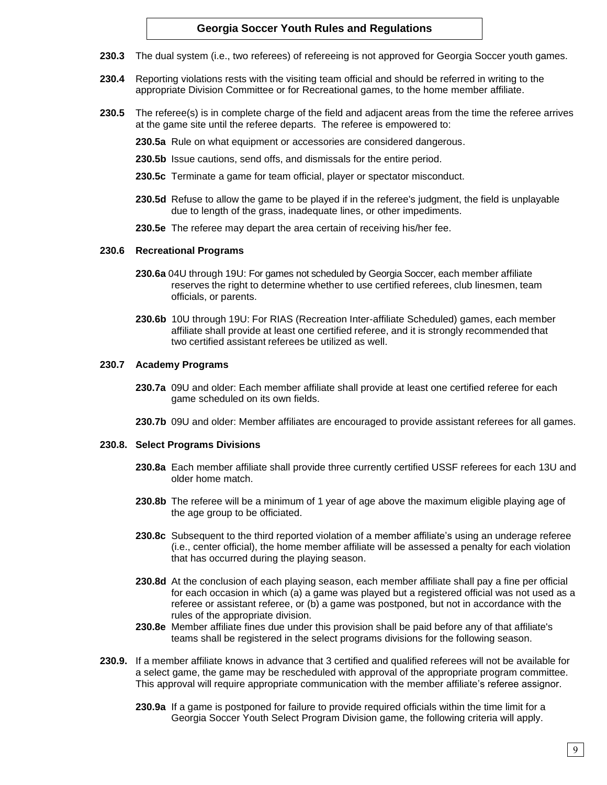- **230.3** The dual system (i.e., two referees) of refereeing is not approved for Georgia Soccer youth games.
- **230.4** Reporting violations rests with the visiting team official and should be referred in writing to the appropriate Division Committee or for Recreational games, to the home member affiliate.
- **230.5** The referee(s) is in complete charge of the field and adjacent areas from the time the referee arrives at the game site until the referee departs. The referee is empowered to:
	- **230.5a** Rule on what equipment or accessories are considered dangerous.
	- **230.5b** Issue cautions, send offs, and dismissals for the entire period.
	- **230.5c** Terminate a game for team official, player or spectator misconduct.
	- **230.5d** Refuse to allow the game to be played if in the referee's judgment, the field is unplayable due to length of the grass, inadequate lines, or other impediments.
	- **230.5e** The referee may depart the area certain of receiving his/her fee.

#### **230.6 Recreational Programs**

- **230.6a** 04U through 19U: For games not scheduled by Georgia Soccer, each member affiliate reserves the right to determine whether to use certified referees, club linesmen, team officials, or parents.
- **230.6b** 10U through 19U: For RIAS (Recreation Inter-affiliate Scheduled) games, each member affiliate shall provide at least one certified referee, and it is strongly recommended that two certified assistant referees be utilized as well.

### **230.7 Academy Programs**

- **230.7a** 09U and older: Each member affiliate shall provide at least one certified referee for each game scheduled on its own fields.
- **230.7b** 09U and older: Member affiliates are encouraged to provide assistant referees for all games.

#### **230.8. Select Programs Divisions**

- **230.8a** Each member affiliate shall provide three currently certified USSF referees for each 13U and older home match.
- **230.8b** The referee will be a minimum of 1 year of age above the maximum eligible playing age of the age group to be officiated.
- **230.8c** Subsequent to the third reported violation of a member affiliate's using an underage referee (i.e., center official), the home member affiliate will be assessed a penalty for each violation that has occurred during the playing season.
- **230.8d** At the conclusion of each playing season, each member affiliate shall pay a fine per official for each occasion in which (a) a game was played but a registered official was not used as a referee or assistant referee, or (b) a game was postponed, but not in accordance with the rules of the appropriate division.
- **230.8e** Member affiliate fines due under this provision shall be paid before any of that affiliate's teams shall be registered in the select programs divisions for the following season.
- **230.9.** If a member affiliate knows in advance that 3 certified and qualified referees will not be available for a select game, the game may be rescheduled with approval of the appropriate program committee. This approval will require appropriate communication with the member affiliate's referee assignor.
	- **230.9a** If a game is postponed for failure to provide required officials within the time limit for a Georgia Soccer Youth Select Program Division game, the following criteria will apply.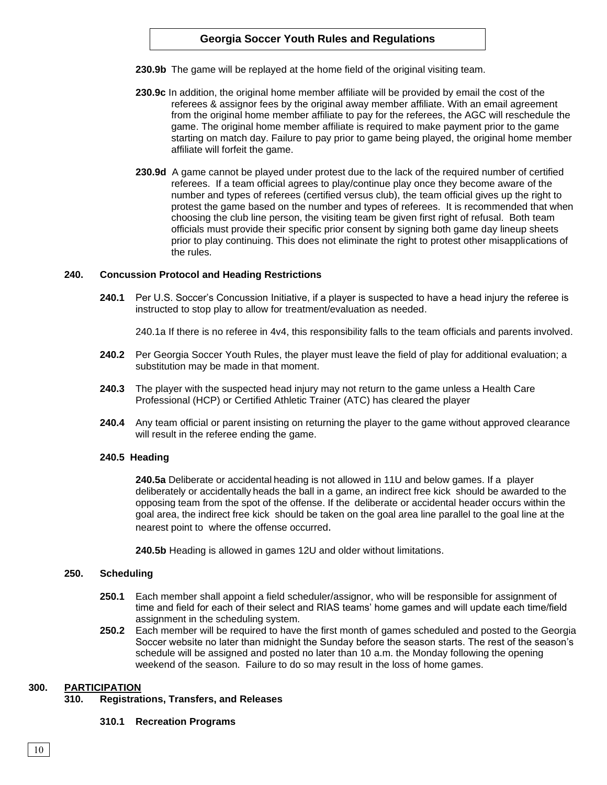- **230.9b** The game will be replayed at the home field of the original visiting team.
- **230.9c** In addition, the original home member affiliate will be provided by email the cost of the referees & assignor fees by the original away member affiliate. With an email agreement from the original home member affiliate to pay for the referees, the AGC will reschedule the game. The original home member affiliate is required to make payment prior to the game starting on match day. Failure to pay prior to game being played, the original home member affiliate will forfeit the game.
- **230.9d** A game cannot be played under protest due to the lack of the required number of certified referees. If a team official agrees to play/continue play once they become aware of the number and types of referees (certified versus club), the team official gives up the right to protest the game based on the number and types of referees. It is recommended that when choosing the club line person, the visiting team be given first right of refusal. Both team officials must provide their specific prior consent by signing both game day lineup sheets prior to play continuing. This does not eliminate the right to protest other misapplications of the rules.

## **240. Concussion Protocol and Heading Restrictions**

**240.1** Per U.S. Soccer's Concussion Initiative, if a player is suspected to have a head injury the referee is instructed to stop play to allow for treatment/evaluation as needed.

240.1a If there is no referee in 4v4, this responsibility falls to the team officials and parents involved.

- **240.2** Per Georgia Soccer Youth Rules, the player must leave the field of play for additional evaluation; a substitution may be made in that moment.
- **240.3** The player with the suspected head injury may not return to the game unless a Health Care Professional (HCP) or Certified Athletic Trainer (ATC) has cleared the player
- **240.4** Any team official or parent insisting on returning the player to the game without approved clearance will result in the referee ending the game.

## **240.5 Heading**

**240.5a** Deliberate or accidental heading is not allowed in 11U and below games. If a player deliberately or accidentally heads the ball in a game, an indirect free kick should be awarded to the opposing team from the spot of the offense. If the deliberate or accidental header occurs within the goal area, the indirect free kick should be taken on the goal area line parallel to the goal line at the nearest point to where the offense occurred.

**240.5b** Heading is allowed in games 12U and older without limitations.

## **250. Scheduling**

- **250.1** Each member shall appoint a field scheduler/assignor, who will be responsible for assignment of time and field for each of their select and RIAS teams' home games and will update each time/field assignment in the scheduling system.
- **250.2** Each member will be required to have the first month of games scheduled and posted to the Georgia Soccer website no later than midnight the Sunday before the season starts. The rest of the season's schedule will be assigned and posted no later than 10 a.m. the Monday following the opening weekend of the season. Failure to do so may result in the loss of home games.

## **300. PARTICIPATION**

## **310. Registrations, Transfers, and Releases**

## **310.1 Recreation Programs**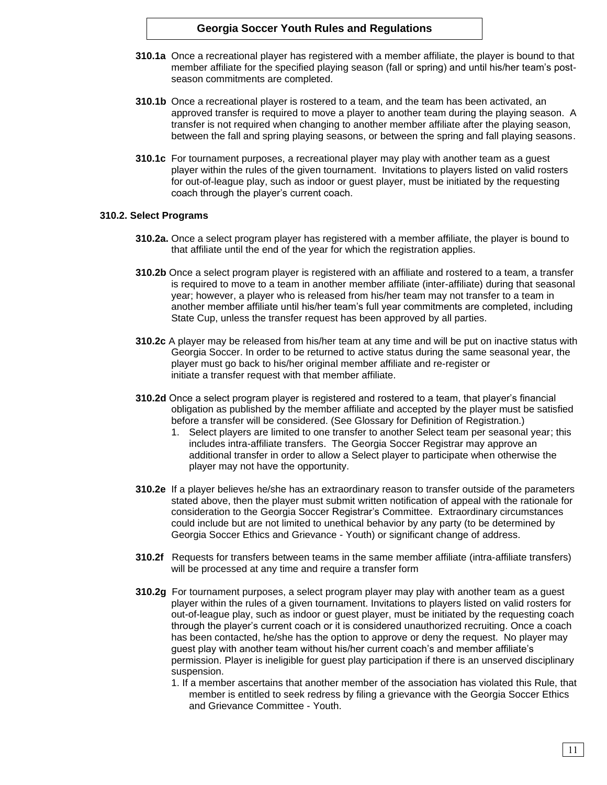- **310.1a** Once a recreational player has registered with a member affiliate, the player is bound to that member affiliate for the specified playing season (fall or spring) and until his/her team's postseason commitments are completed.
- **310.1b** Once a recreational player is rostered to a team, and the team has been activated, an approved transfer is required to move a player to another team during the playing season. A transfer is not required when changing to another member affiliate after the playing season, between the fall and spring playing seasons, or between the spring and fall playing seasons.
- **310.1c** For tournament purposes, a recreational player may play with another team as a guest player within the rules of the given tournament. Invitations to players listed on valid rosters for out-of-league play, such as indoor or guest player, must be initiated by the requesting coach through the player's current coach.

## **310.2. Select Programs**

- **310.2a.** Once a select program player has registered with a member affiliate, the player is bound to that affiliate until the end of the year for which the registration applies.
- **310.2b** Once a select program player is registered with an affiliate and rostered to a team, a transfer is required to move to a team in another member affiliate (inter-affiliate) during that seasonal year; however, a player who is released from his/her team may not transfer to a team in another member affiliate until his/her team's full year commitments are completed, including State Cup, unless the transfer request has been approved by all parties.
- **310.2c** A player may be released from his/her team at any time and will be put on inactive status with Georgia Soccer. In order to be returned to active status during the same seasonal year, the player must go back to his/her original member affiliate and re-register or initiate a transfer request with that member affiliate.
- **310.2d** Once a select program player is registered and rostered to a team, that player's financial obligation as published by the member affiliate and accepted by the player must be satisfied before a transfer will be considered. (See Glossary for Definition of Registration.)
	- 1. Select players are limited to one transfer to another Select team per seasonal year; this includes intra-affiliate transfers. The Georgia Soccer Registrar may approve an additional transfer in order to allow a Select player to participate when otherwise the player may not have the opportunity.
- **310.2e** If a player believes he/she has an extraordinary reason to transfer outside of the parameters stated above, then the player must submit written notification of appeal with the rationale for consideration to the Georgia Soccer Registrar's Committee. Extraordinary circumstances could include but are not limited to unethical behavior by any party (to be determined by Georgia Soccer Ethics and Grievance - Youth) or significant change of address.
- **310.2f** Requests for transfers between teams in the same member affiliate (intra-affiliate transfers) will be processed at any time and require a transfer form
- **310.2g** For tournament purposes, a select program player may play with another team as a guest player within the rules of a given tournament. Invitations to players listed on valid rosters for out-of-league play, such as indoor or guest player, must be initiated by the requesting coach through the player's current coach or it is considered unauthorized recruiting. Once a coach has been contacted, he/she has the option to approve or deny the request. No player may guest play with another team without his/her current coach's and member affiliate's permission. Player is ineligible for guest play participation if there is an unserved disciplinary suspension.
	- 1. If a member ascertains that another member of the association has violated this Rule, that member is entitled to seek redress by filing a grievance with the Georgia Soccer Ethics and Grievance Committee - Youth.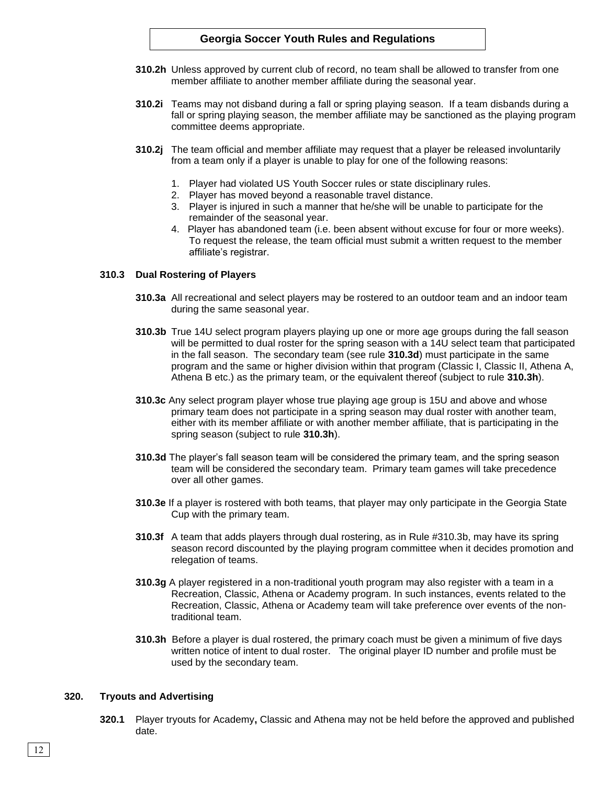- **310.2h** Unless approved by current club of record, no team shall be allowed to transfer from one member affiliate to another member affiliate during the seasonal year.
- **310.2i** Teams may not disband during a fall or spring playing season. If a team disbands during a fall or spring playing season, the member affiliate may be sanctioned as the playing program committee deems appropriate.
- **310.2j** The team official and member affiliate may request that a player be released involuntarily from a team only if a player is unable to play for one of the following reasons:
	- 1. Player had violated US Youth Soccer rules or state disciplinary rules.
	- 2. Player has moved beyond a reasonable travel distance.
	- 3. Player is injured in such a manner that he/she will be unable to participate for the remainder of the seasonal year.
	- 4. Player has abandoned team (i.e. been absent without excuse for four or more weeks). To request the release, the team official must submit a written request to the member affiliate's registrar.

### **310.3 Dual Rostering of Players**

- **310.3a** All recreational and select players may be rostered to an outdoor team and an indoor team during the same seasonal year.
- **310.3b** True 14U select program players playing up one or more age groups during the fall season will be permitted to dual roster for the spring season with a 14U select team that participated in the fall season. The secondary team (see rule **310.3d**) must participate in the same program and the same or higher division within that program (Classic I, Classic II, Athena A, Athena B etc.) as the primary team, or the equivalent thereof (subject to rule **310.3h**).
- **310.3c** Any select program player whose true playing age group is 15U and above and whose primary team does not participate in a spring season may dual roster with another team, either with its member affiliate or with another member affiliate, that is participating in the spring season (subject to rule **310.3h**).
- **310.3d** The player's fall season team will be considered the primary team, and the spring season team will be considered the secondary team. Primary team games will take precedence over all other games.
- **310.3e** If a player is rostered with both teams, that player may only participate in the Georgia State Cup with the primary team.
- **310.3f** A team that adds players through dual rostering, as in Rule #310.3b, may have its spring season record discounted by the playing program committee when it decides promotion and relegation of teams.
- **310.3g** A player registered in a non-traditional youth program may also register with a team in a Recreation, Classic, Athena or Academy program. In such instances, events related to the Recreation, Classic, Athena or Academy team will take preference over events of the nontraditional team.
- **310.3h** Before a player is dual rostered, the primary coach must be given a minimum of five days written notice of intent to dual roster. The original player ID number and profile must be used by the secondary team.

#### **320. Tryouts and Advertising**

**320.1** Player tryouts for Academy**,** Classic and Athena may not be held before the approved and published date.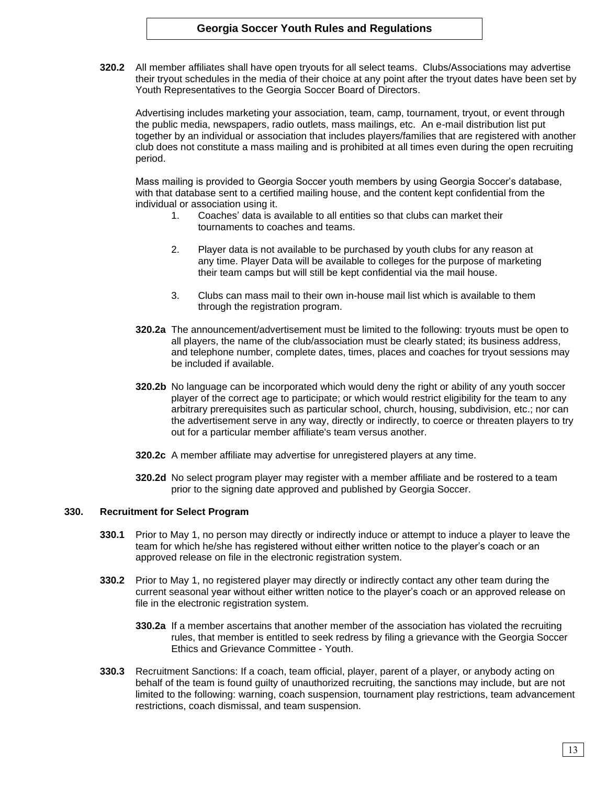**320.2** All member affiliates shall have open tryouts for all select teams. Clubs/Associations may advertise their tryout schedules in the media of their choice at any point after the tryout dates have been set by Youth Representatives to the Georgia Soccer Board of Directors.

Advertising includes marketing your association, team, camp, tournament, tryout, or event through the public media, newspapers, radio outlets, mass mailings, etc. An e-mail distribution list put together by an individual or association that includes players/families that are registered with another club does not constitute a mass mailing and is prohibited at all times even during the open recruiting period.

Mass mailing is provided to Georgia Soccer youth members by using Georgia Soccer's database, with that database sent to a certified mailing house, and the content kept confidential from the individual or association using it.

- 1. Coaches' data is available to all entities so that clubs can market their tournaments to coaches and teams.
- 2. Player data is not available to be purchased by youth clubs for any reason at any time. Player Data will be available to colleges for the purpose of marketing their team camps but will still be kept confidential via the mail house.
- 3. Clubs can mass mail to their own in-house mail list which is available to them through the registration program.
- **320.2a** The announcement/advertisement must be limited to the following: tryouts must be open to all players, the name of the club/association must be clearly stated; its business address, and telephone number, complete dates, times, places and coaches for tryout sessions may be included if available.
- **320.2b** No language can be incorporated which would deny the right or ability of any youth soccer player of the correct age to participate; or which would restrict eligibility for the team to any arbitrary prerequisites such as particular school, church, housing, subdivision, etc.; nor can the advertisement serve in any way, directly or indirectly, to coerce or threaten players to try out for a particular member affiliate's team versus another.
- **320.2c** A member affiliate may advertise for unregistered players at any time.
- **320.2d** No select program player may register with a member affiliate and be rostered to a team prior to the signing date approved and published by Georgia Soccer.

## **330. Recruitment for Select Program**

- **330.1** Prior to May 1, no person may directly or indirectly induce or attempt to induce a player to leave the team for which he/she has registered without either written notice to the player's coach or an approved release on file in the electronic registration system.
- **330.2** Prior to May 1, no registered player may directly or indirectly contact any other team during the current seasonal year without either written notice to the player's coach or an approved release on file in the electronic registration system.
	- **330.2a** If a member ascertains that another member of the association has violated the recruiting rules, that member is entitled to seek redress by filing a grievance with the Georgia Soccer Ethics and Grievance Committee - Youth.
- **330.3** Recruitment Sanctions: If a coach, team official, player, parent of a player, or anybody acting on behalf of the team is found guilty of unauthorized recruiting, the sanctions may include, but are not limited to the following: warning, coach suspension, tournament play restrictions, team advancement restrictions, coach dismissal, and team suspension.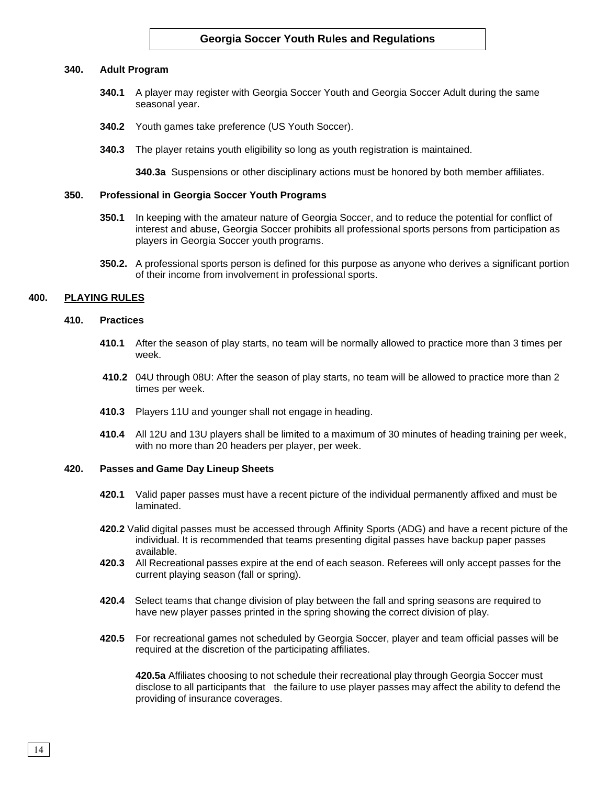#### **340. Adult Program**

- **340.1** A player may register with Georgia Soccer Youth and Georgia Soccer Adult during the same seasonal year.
- **340.2** Youth games take preference (US Youth Soccer).
- **340.3** The player retains youth eligibility so long as youth registration is maintained.

**340.3a** Suspensions or other disciplinary actions must be honored by both member affiliates.

### **350. Professional in Georgia Soccer Youth Programs**

- **350.1** In keeping with the amateur nature of Georgia Soccer, and to reduce the potential for conflict of interest and abuse, Georgia Soccer prohibits all professional sports persons from participation as players in Georgia Soccer youth programs.
- **350.2.** A professional sports person is defined for this purpose as anyone who derives a significant portion of their income from involvement in professional sports.

#### **400. PLAYING RULES**

#### **410. Practices**

- **410.1** After the season of play starts, no team will be normally allowed to practice more than 3 times per week.
- **410.2** 04U through 08U: After the season of play starts, no team will be allowed to practice more than 2 times per week.
- **410.3** Players 11U and younger shall not engage in heading.
- **410.4** All 12U and 13U players shall be limited to a maximum of 30 minutes of heading training per week, with no more than 20 headers per player, per week.

### **420. Passes and Game Day Lineup Sheets**

- **420.1** Valid paper passes must have a recent picture of the individual permanently affixed and must be laminated.
- **420.2** Valid digital passes must be accessed through Affinity Sports (ADG) and have a recent picture of the individual. It is recommended that teams presenting digital passes have backup paper passes available.
- **420.3** All Recreational passes expire at the end of each season. Referees will only accept passes for the current playing season (fall or spring).
- **420.4** Select teams that change division of play between the fall and spring seasons are required to have new player passes printed in the spring showing the correct division of play.
- **420.5** For recreational games not scheduled by Georgia Soccer, player and team official passes will be required at the discretion of the participating affiliates.

**420.5a** Affiliates choosing to not schedule their recreational play through Georgia Soccer must disclose to all participants that the failure to use player passes may affect the ability to defend the providing of insurance coverages.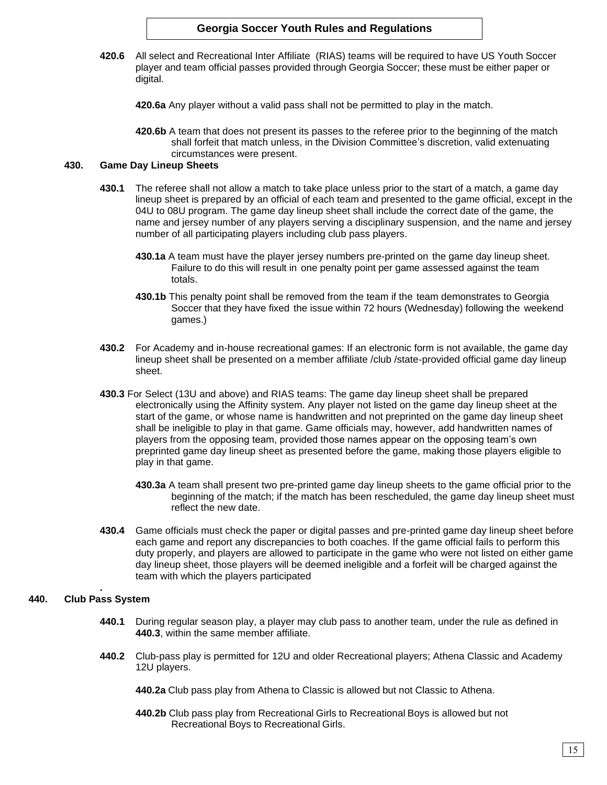**420.6** All select and Recreational Inter Affiliate (RIAS) teams will be required to have US Youth Soccer player and team official passes provided through Georgia Soccer; these must be either paper or digital.

**420.6a** Any player without a valid pass shall not be permitted to play in the match.

**420.6b** A team that does not present its passes to the referee prior to the beginning of the match shall forfeit that match unless, in the Division Committee's discretion, valid extenuating circumstances were present.

## **430. Game Day Lineup Sheets**

- **430.1** The referee shall not allow a match to take place unless prior to the start of a match, a game day lineup sheet is prepared by an official of each team and presented to the game official, except in the 04U to 08U program. The game day lineup sheet shall include the correct date of the game, the name and jersey number of any players serving a disciplinary suspension, and the name and jersey number of all participating players including club pass players.
	- **430.1a** A team must have the player jersey numbers pre-printed on the game day lineup sheet. Failure to do this will result in one penalty point per game assessed against the team totals.
	- **430.1b** This penalty point shall be removed from the team if the team demonstrates to Georgia Soccer that they have fixed the issue within 72 hours (Wednesday) following the weekend games.)
- **430.2** For Academy and in-house recreational games: If an electronic form is not available, the game day lineup sheet shall be presented on a member affiliate /club /state-provided official game day lineup sheet.
- **430.3** For Select (13U and above) and RIAS teams: The game day lineup sheet shall be prepared electronically using the Affinity system. Any player not listed on the game day lineup sheet at the start of the game, or whose name is handwritten and not preprinted on the game day lineup sheet shall be ineligible to play in that game. Game officials may, however, add handwritten names of players from the opposing team, provided those names appear on the opposing team's own preprinted game day lineup sheet as presented before the game, making those players eligible to play in that game.
	- **430.3a** A team shall present two pre-printed game day lineup sheets to the game official prior to the beginning of the match; if the match has been rescheduled, the game day lineup sheet must reflect the new date.
- **430.4** Game officials must check the paper or digital passes and pre-printed game day lineup sheet before each game and report any discrepancies to both coaches. If the game official fails to perform this duty properly, and players are allowed to participate in the game who were not listed on either game day lineup sheet, those players will be deemed ineligible and a forfeit will be charged against the team with which the players participated

#### **. 440. Club Pass System**

- **440.1** During regular season play, a player may club pass to another team, under the rule as defined in **440.3**, within the same member affiliate.
- **440.2** Club-pass play is permitted for 12U and older Recreational players; Athena Classic and Academy 12U players.
	- **440.2a** Club pass play from Athena to Classic is allowed but not Classic to Athena.
	- **440.2b** Club pass play from Recreational Girls to Recreational Boys is allowed but not Recreational Boys to Recreational Girls.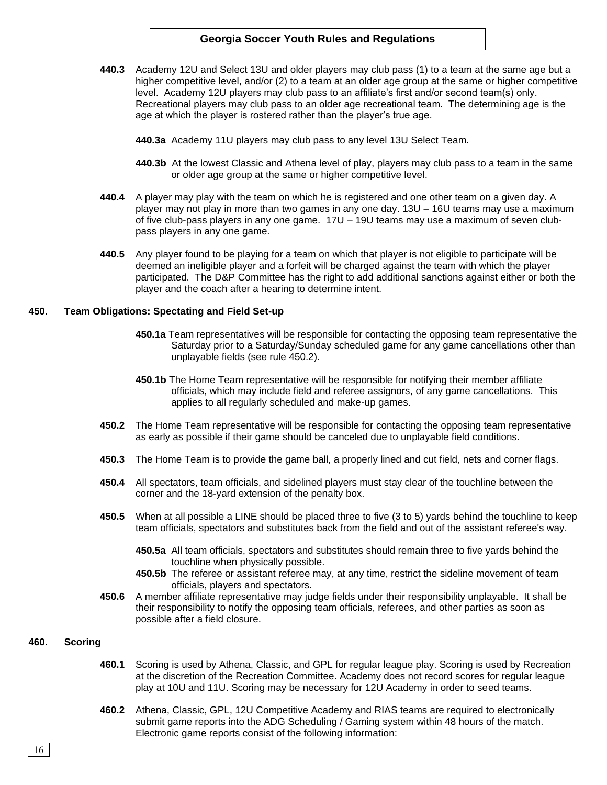- **440.3** Academy 12U and Select 13U and older players may club pass (1) to a team at the same age but a higher competitive level, and/or (2) to a team at an older age group at the same or higher competitive level. Academy 12U players may club pass to an affiliate's first and/or second team(s) only. Recreational players may club pass to an older age recreational team. The determining age is the age at which the player is rostered rather than the player's true age.
	- **440.3a** Academy 11U players may club pass to any level 13U Select Team.
	- **440.3b** At the lowest Classic and Athena level of play, players may club pass to a team in the same or older age group at the same or higher competitive level.
- **440.4** A player may play with the team on which he is registered and one other team on a given day. A player may not play in more than two games in any one day. 13U – 16U teams may use a maximum of five club-pass players in any one game. 17U – 19U teams may use a maximum of seven clubpass players in any one game.
- **440.5** Any player found to be playing for a team on which that player is not eligible to participate will be deemed an ineligible player and a forfeit will be charged against the team with which the player participated. The D&P Committee has the right to add additional sanctions against either or both the player and the coach after a hearing to determine intent.

### **450. Team Obligations: Spectating and Field Set-up**

- **450.1a** Team representatives will be responsible for contacting the opposing team representative the Saturday prior to a Saturday/Sunday scheduled game for any game cancellations other than unplayable fields (see rule 450.2).
- **450.1b** The Home Team representative will be responsible for notifying their member affiliate officials, which may include field and referee assignors, of any game cancellations. This applies to all regularly scheduled and make-up games.
- **450.2** The Home Team representative will be responsible for contacting the opposing team representative as early as possible if their game should be canceled due to unplayable field conditions.
- **450.3** The Home Team is to provide the game ball, a properly lined and cut field, nets and corner flags.
- **450.4** All spectators, team officials, and sidelined players must stay clear of the touchline between the corner and the 18-yard extension of the penalty box.
- **450.5** When at all possible a LINE should be placed three to five (3 to 5) yards behind the touchline to keep team officials, spectators and substitutes back from the field and out of the assistant referee's way.
	- **450.5a** All team officials, spectators and substitutes should remain three to five yards behind the touchline when physically possible.
	- **450.5b** The referee or assistant referee may, at any time, restrict the sideline movement of team officials, players and spectators.
- **450.6** A member affiliate representative may judge fields under their responsibility unplayable. It shall be their responsibility to notify the opposing team officials, referees, and other parties as soon as possible after a field closure.

#### **460. Scoring**

- **460.1** Scoring is used by Athena, Classic, and GPL for regular league play. Scoring is used by Recreation at the discretion of the Recreation Committee. Academy does not record scores for regular league play at 10U and 11U. Scoring may be necessary for 12U Academy in order to seed teams.
- **460.2** Athena, Classic, GPL, 12U Competitive Academy and RIAS teams are required to electronically submit game reports into the ADG Scheduling / Gaming system within 48 hours of the match. Electronic game reports consist of the following information: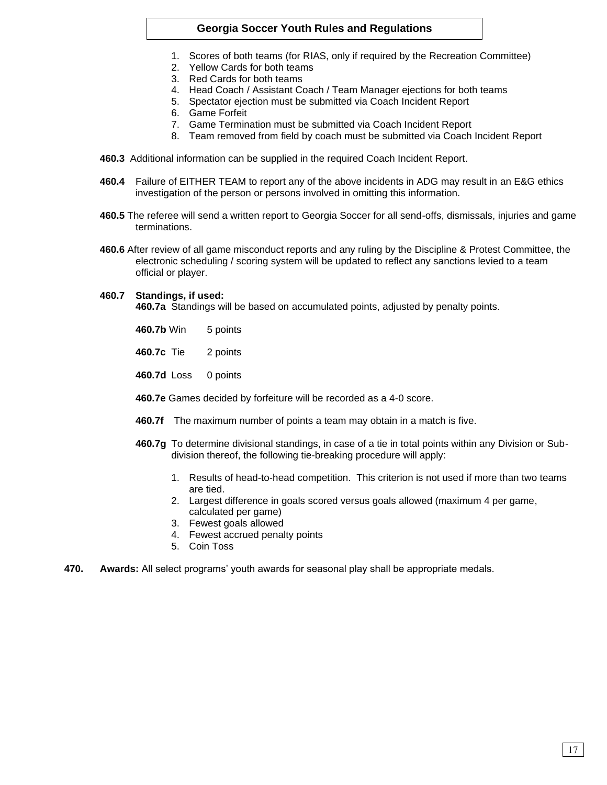- 1. Scores of both teams (for RIAS, only if required by the Recreation Committee)
- 2. Yellow Cards for both teams
- 3. Red Cards for both teams
- 4. Head Coach / Assistant Coach / Team Manager ejections for both teams
- 5. Spectator ejection must be submitted via Coach Incident Report
- 6. Game Forfeit
- 7. Game Termination must be submitted via Coach Incident Report
- 8. Team removed from field by coach must be submitted via Coach Incident Report
- **460.3** Additional information can be supplied in the required Coach Incident Report.
- **460.4** Failure of EITHER TEAM to report any of the above incidents in ADG may result in an E&G ethics investigation of the person or persons involved in omitting this information.
- **460.5** The referee will send a written report to Georgia Soccer for all send-offs, dismissals, injuries and game terminations.
- **460.6** After review of all game misconduct reports and any ruling by the Discipline & Protest Committee, the electronic scheduling / scoring system will be updated to reflect any sanctions levied to a team official or player.

## **460.7 Standings, if used:**

**460.7a** Standings will be based on accumulated points, adjusted by penalty points.

- **460.7b** Win 5 points
- **460.7c** Tie 2 points
- **460.7d** Loss 0 points
- **460.7e** Games decided by forfeiture will be recorded as a 4-0 score.
- **460.7f** The maximum number of points a team may obtain in a match is five.
- **460.7g** To determine divisional standings, in case of a tie in total points within any Division or Subdivision thereof, the following tie-breaking procedure will apply:
	- 1. Results of head-to-head competition. This criterion is not used if more than two teams are tied.
	- 2. Largest difference in goals scored versus goals allowed (maximum 4 per game, calculated per game)
	- 3. Fewest goals allowed
	- 4. Fewest accrued penalty points
	- 5. Coin Toss
- **470. Awards:** All select programs' youth awards for seasonal play shall be appropriate medals.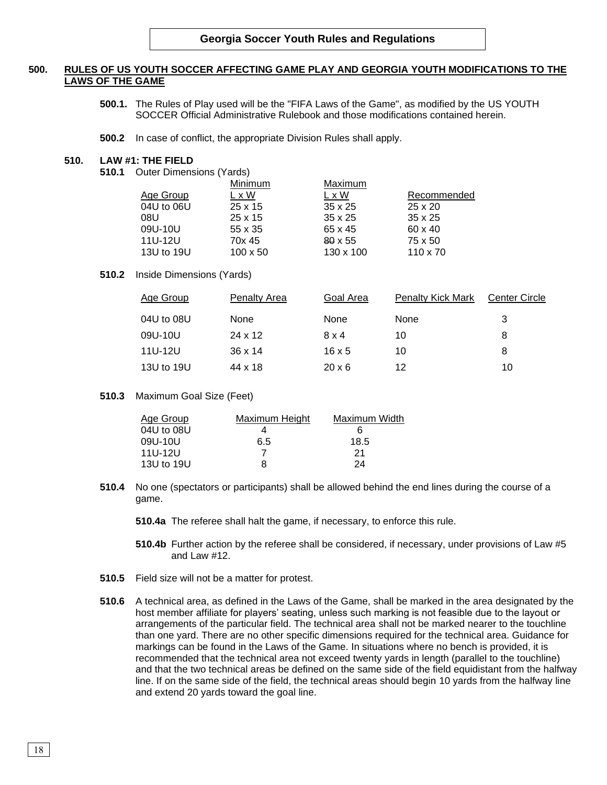# **500. RULES OF US YOUTH SOCCER AFFECTING GAME PLAY AND GEORGIA YOUTH MODIFICATIONS TO THE LAWS OF THE GAME**

- **500.1.** The Rules of Play used will be the "FIFA Laws of the Game", as modified by the US YOUTH SOCCER Official Administrative Rulebook and those modifications contained herein.
- **500.2** In case of conflict, the appropriate Division Rules shall apply.

### **510. LAW #1: THE FIELD**

**510.1** Outer Dimensions (Yards)

|            | Minimum         | Maximum        |                 |
|------------|-----------------|----------------|-----------------|
| Age Group  | L x W           | L x W          | Recommended     |
| 04U to 06U | $25 \times 15$  | $35 \times 25$ | $25 \times 20$  |
| 08U        | $25 \times 15$  | $35 \times 25$ | $35 \times 25$  |
| 09U-10U    | 55 x 35         | 65 x 45        | 60 x 40         |
| 11U-12U    | 70x 45          | $80 \times 55$ | 75 x 50         |
| 13U to 19U | $100 \times 50$ | 130 x 100      | $110 \times 70$ |
|            |                 |                |                 |

#### **510.2** Inside Dimensions (Yards)

| Age Group  | Penalty Area   | Goal Area     | <b>Penalty Kick Mark</b> | Center Circle |
|------------|----------------|---------------|--------------------------|---------------|
| 04U to 08U | None           | None          | None                     | 3             |
| 09U-10U    | 24 x 12        | $8 \times 4$  | 10                       | 8             |
| 11U-12U    | $36 \times 14$ | $16 \times 5$ | 10                       | 8             |
| 13U to 19U | 44 x 18        | $20 \times 6$ | 12                       | 10            |

**510.3** Maximum Goal Size (Feet)

| Age Group  | Maximum Height | Maximum Width |
|------------|----------------|---------------|
| 04U to 08U |                | 6             |
| 09U-10U    | 6.5            | 18.5          |
| 11U-12U    |                | 21            |
| 13U to 19U | я              | 24            |

**510.4** No one (spectators or participants) shall be allowed behind the end lines during the course of a game.

**510.4a** The referee shall halt the game, if necessary, to enforce this rule.

- **510.4b** Further action by the referee shall be considered, if necessary, under provisions of Law #5 and Law #12.
- **510.5** Field size will not be a matter for protest.
- **510.6** A technical area, as defined in the Laws of the Game, shall be marked in the area designated by the host member affiliate for players' seating, unless such marking is not feasible due to the layout or arrangements of the particular field. The technical area shall not be marked nearer to the touchline than one yard. There are no other specific dimensions required for the technical area. Guidance for markings can be found in the Laws of the Game. In situations where no bench is provided, it is recommended that the technical area not exceed twenty yards in length (parallel to the touchline) and that the two technical areas be defined on the same side of the field equidistant from the halfway line. If on the same side of the field, the technical areas should begin 10 yards from the halfway line and extend 20 yards toward the goal line.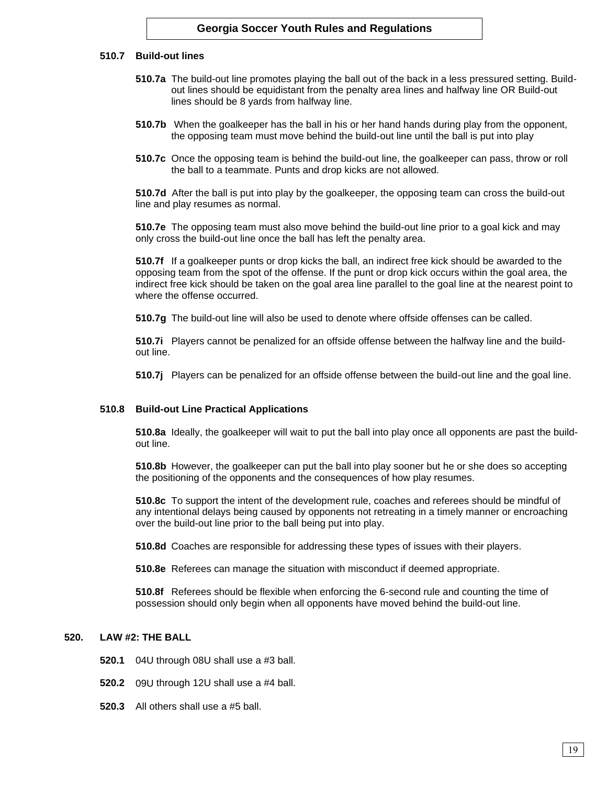### **510.7 Build-out lines**

- **510.7a** The build-out line promotes playing the ball out of the back in a less pressured setting. Buildout lines should be equidistant from the penalty area lines and halfway line OR Build-out lines should be 8 yards from halfway line.
- **510.7b** When the goalkeeper has the ball in his or her hand hands during play from the opponent, the opposing team must move behind the build-out line until the ball is put into play
- **510.7c** Once the opposing team is behind the build-out line, the goalkeeper can pass, throw or roll the ball to a teammate. Punts and drop kicks are not allowed.

**510.7d** After the ball is put into play by the goalkeeper, the opposing team can cross the build-out line and play resumes as normal.

**510.7e** The opposing team must also move behind the build-out line prior to a goal kick and may only cross the build-out line once the ball has left the penalty area.

**510.7f** If a goalkeeper punts or drop kicks the ball, an indirect free kick should be awarded to the opposing team from the spot of the offense. If the punt or drop kick occurs within the goal area, the indirect free kick should be taken on the goal area line parallel to the goal line at the nearest point to where the offense occurred.

**510.7g** The build-out line will also be used to denote where offside offenses can be called.

**510.7i** Players cannot be penalized for an offside offense between the halfway line and the buildout line.

**510.7j** Players can be penalized for an offside offense between the build-out line and the goal line.

## **510.8 Build-out Line Practical Applications**

**510.8a** Ideally, the goalkeeper will wait to put the ball into play once all opponents are past the buildout line.

**510.8b** However, the goalkeeper can put the ball into play sooner but he or she does so accepting the positioning of the opponents and the consequences of how play resumes.

**510.8c** To support the intent of the development rule, coaches and referees should be mindful of any intentional delays being caused by opponents not retreating in a timely manner or encroaching over the build-out line prior to the ball being put into play.

**510.8d** Coaches are responsible for addressing these types of issues with their players.

**510.8e** Referees can manage the situation with misconduct if deemed appropriate.

**510.8f** Referees should be flexible when enforcing the 6-second rule and counting the time of possession should only begin when all opponents have moved behind the build-out line.

# **520. LAW #2: THE BALL**

- **520.1** 04U through 08U shall use a #3 ball.
- **520.2** 09U through 12U shall use a #4 ball.
- **520.3** All others shall use a #5 ball.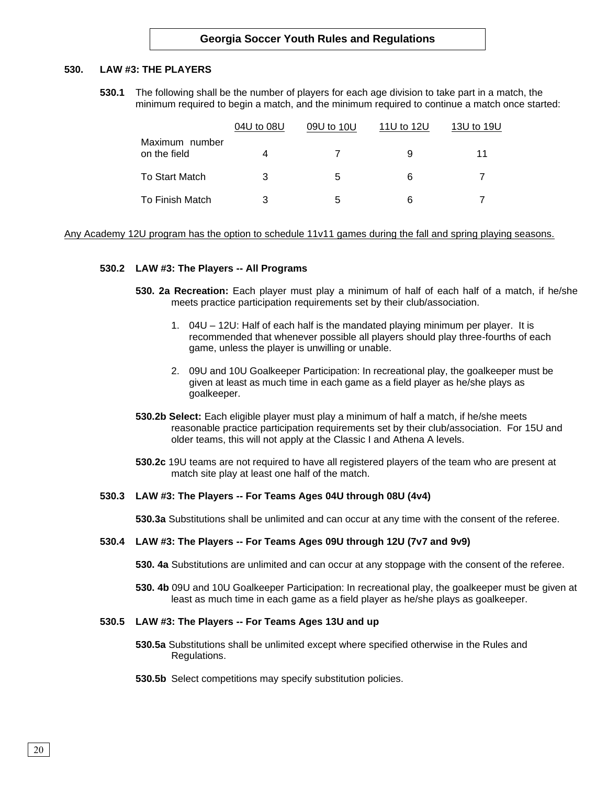### **530. LAW #3: THE PLAYERS**

**530.1** The following shall be the number of players for each age division to take part in a match, the minimum required to begin a match, and the minimum required to continue a match once started:

|                                | 04U to 08U | 09U to 10U | 11U to 12U | 13U to 19U |  |
|--------------------------------|------------|------------|------------|------------|--|
| Maximum number<br>on the field | 4          |            | 9          | 11         |  |
| <b>To Start Match</b>          | 3          | 5          | 6          |            |  |
| To Finish Match                |            | 5          | 6          |            |  |

Any Academy 12U program has the option to schedule 11v11 games during the fall and spring playing seasons.

### **530.2 LAW #3: The Players -- All Programs**

- **530. 2a Recreation:** Each player must play a minimum of half of each half of a match, if he/she meets practice participation requirements set by their club/association.
	- 1. 04U 12U: Half of each half is the mandated playing minimum per player. It is recommended that whenever possible all players should play three-fourths of each game, unless the player is unwilling or unable.
	- 2. 09U and 10U Goalkeeper Participation: In recreational play, the goalkeeper must be given at least as much time in each game as a field player as he/she plays as goalkeeper.
- **530.2b Select:** Each eligible player must play a minimum of half a match, if he/she meets reasonable practice participation requirements set by their club/association. For 15U and older teams, this will not apply at the Classic I and Athena A levels.
- **530.2c** 19U teams are not required to have all registered players of the team who are present at match site play at least one half of the match.

#### **530.3 LAW #3: The Players -- For Teams Ages 04U through 08U (4v4)**

**530.3a** Substitutions shall be unlimited and can occur at any time with the consent of the referee.

### **530.4 LAW #3: The Players -- For Teams Ages 09U through 12U (7v7 and 9v9)**

**530. 4a** Substitutions are unlimited and can occur at any stoppage with the consent of the referee.

**530. 4b** 09U and 10U Goalkeeper Participation: In recreational play, the goalkeeper must be given at least as much time in each game as a field player as he/she plays as goalkeeper.

#### **530.5 LAW #3: The Players -- For Teams Ages 13U and up**

- **530.5a** Substitutions shall be unlimited except where specified otherwise in the Rules and Regulations.
- **530.5b** Select competitions may specify substitution policies.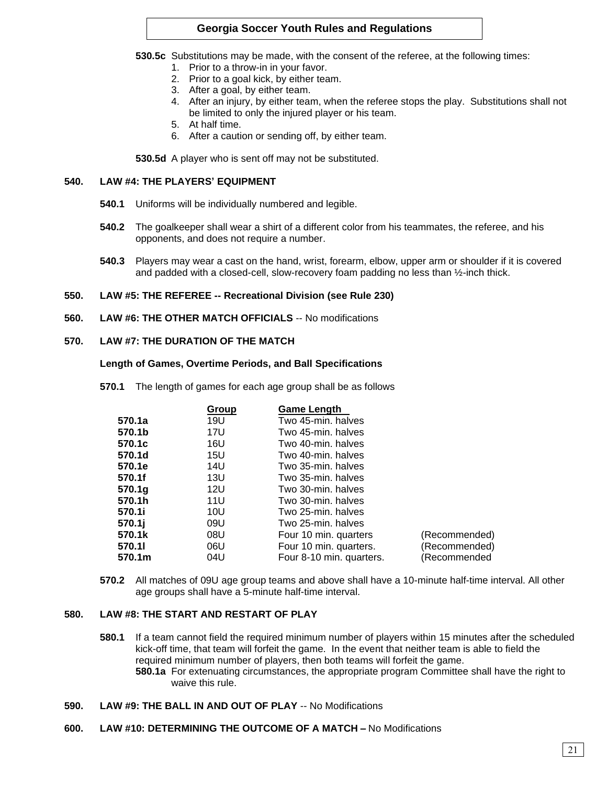**530.5c** Substitutions may be made, with the consent of the referee, at the following times:

- 1. Prior to a throw-in in your favor.
- 2. Prior to a goal kick, by either team.
- 3. After a goal, by either team.
- 4. After an injury, by either team, when the referee stops the play. Substitutions shall not be limited to only the injured player or his team.
- 5. At half time.
- 6. After a caution or sending off, by either team.

**530.5d** A player who is sent off may not be substituted.

# **540. LAW #4: THE PLAYERS' EQUIPMENT**

- **540.1** Uniforms will be individually numbered and legible.
- **540.2** The goalkeeper shall wear a shirt of a different color from his teammates, the referee, and his opponents, and does not require a number.
- **540.3** Players may wear a cast on the hand, wrist, forearm, elbow, upper arm or shoulder if it is covered and padded with a closed-cell, slow-recovery foam padding no less than ½-inch thick.

## **550. LAW #5: THE REFEREE -- Recreational Division (see Rule 230)**

**560. LAW #6: THE OTHER MATCH OFFICIALS** -- No modifications

## **570. LAW #7: THE DURATION OF THE MATCH**

### **Length of Games, Overtime Periods, and Ball Specifications**

**570.1** The length of games for each age group shall be as follows

|                    | Group | <b>Game Length</b>       |               |
|--------------------|-------|--------------------------|---------------|
| 570.1a             | 19U   | Two 45-min. halves       |               |
| 570.1b             | 17U   | Two 45-min. halves       |               |
| 570.1c             | 16U   | Two 40-min. halves       |               |
| 570.1d             | 15U   | Two 40-min. halves       |               |
| 570.1e             | 14U   | Two 35-min. halves       |               |
| 570.1f             | 13U   | Two 35-min. halves       |               |
| 570.1a             | 12U   | Two 30-min. halves       |               |
| 570.1h             | 11U   | Two 30-min. halves       |               |
| 570.1i             | 10U   | Two 25-min. halves       |               |
| 570.1 <sub>i</sub> | 09U   | Two 25-min. halves       |               |
| 570.1k             | 08U   | Four 10 min. quarters    | (Recommended) |
| 570.11             | 06U   | Four 10 min. quarters.   | (Recommended) |
| 570.1m             | 04U   | Four 8-10 min. quarters. | (Recommended  |

**570.2** All matches of 09U age group teams and above shall have a 10-minute half-time interval. All other age groups shall have a 5-minute half-time interval.

## **580. LAW #8: THE START AND RESTART OF PLAY**

- **580.1** If a team cannot field the required minimum number of players within 15 minutes after the scheduled kick-off time, that team will forfeit the game. In the event that neither team is able to field the required minimum number of players, then both teams will forfeit the game. **580.1a** For extenuating circumstances, the appropriate program Committee shall have the right to waive this rule.
- **590. LAW #9: THE BALL IN AND OUT OF PLAY** -- No Modifications

## **600. LAW #10: DETERMINING THE OUTCOME OF A MATCH –** No Modifications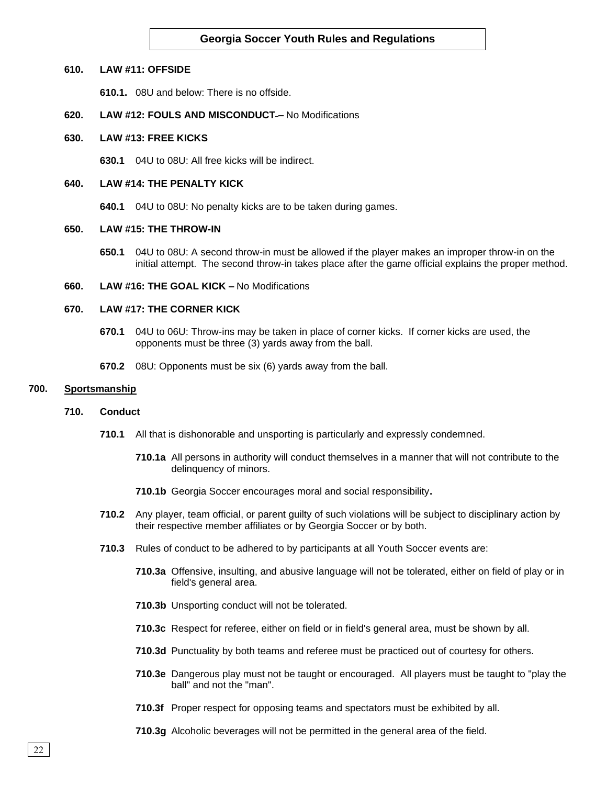#### **610. LAW #11: OFFSIDE**

**610.1.** 08U and below: There is no offside.

### **620. LAW #12: FOULS AND MISCONDUCT –** No Modifications

#### **630. LAW #13: FREE KICKS**

**630.1** 04U to 08U: All free kicks will be indirect.

### **640. LAW #14: THE PENALTY KICK**

**640.1** 04U to 08U: No penalty kicks are to be taken during games.

# **650. LAW #15: THE THROW-IN**

**650.1** 04U to 08U: A second throw-in must be allowed if the player makes an improper throw-in on the initial attempt. The second throw-in takes place after the game official explains the proper method.

### **660. LAW #16: THE GOAL KICK –** No Modifications

### **670. LAW #17: THE CORNER KICK**

- **670.1** 04U to 06U: Throw-ins may be taken in place of corner kicks. If corner kicks are used, the opponents must be three (3) yards away from the ball.
- **670.2** 08U: Opponents must be six (6) yards away from the ball.

### **700. Sportsmanship**

#### **710. Conduct**

- **710.1** All that is dishonorable and unsporting is particularly and expressly condemned.
	- **710.1a** All persons in authority will conduct themselves in a manner that will not contribute to the delinquency of minors.
	- **710.1b** Georgia Soccer encourages moral and social responsibility**.**
- **710.2** Any player, team official, or parent guilty of such violations will be subject to disciplinary action by their respective member affiliates or by Georgia Soccer or by both.
- **710.3** Rules of conduct to be adhered to by participants at all Youth Soccer events are:
	- **710.3a** Offensive, insulting, and abusive language will not be tolerated, either on field of play or in field's general area.
	- **710.3b** Unsporting conduct will not be tolerated.
	- **710.3c** Respect for referee, either on field or in field's general area, must be shown by all.
	- **710.3d** Punctuality by both teams and referee must be practiced out of courtesy for others.
	- **710.3e** Dangerous play must not be taught or encouraged. All players must be taught to "play the ball" and not the "man".
	- **710.3f** Proper respect for opposing teams and spectators must be exhibited by all.
	- **710.3g** Alcoholic beverages will not be permitted in the general area of the field.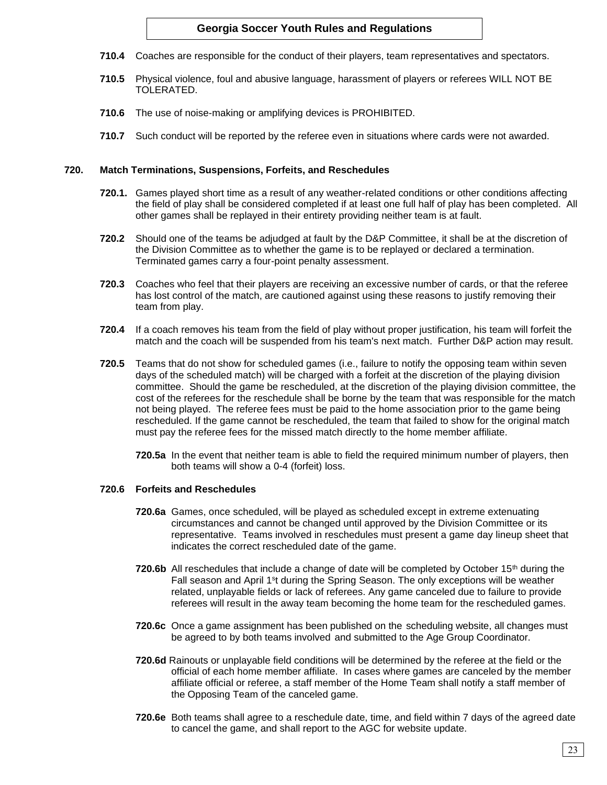- **710.4** Coaches are responsible for the conduct of their players, team representatives and spectators.
- **710.5** Physical violence, foul and abusive language, harassment of players or referees WILL NOT BE TOLERATED.
- **710.6** The use of noise-making or amplifying devices is PROHIBITED.
- **710.7** Such conduct will be reported by the referee even in situations where cards were not awarded.

### **720. Match Terminations, Suspensions, Forfeits, and Reschedules**

- **720.1.** Games played short time as a result of any weather-related conditions or other conditions affecting the field of play shall be considered completed if at least one full half of play has been completed. All other games shall be replayed in their entirety providing neither team is at fault.
- **720.2** Should one of the teams be adjudged at fault by the D&P Committee, it shall be at the discretion of the Division Committee as to whether the game is to be replayed or declared a termination. Terminated games carry a four-point penalty assessment.
- **720.3** Coaches who feel that their players are receiving an excessive number of cards, or that the referee has lost control of the match, are cautioned against using these reasons to justify removing their team from play.
- **720.4** If a coach removes his team from the field of play without proper justification, his team will forfeit the match and the coach will be suspended from his team's next match. Further D&P action may result.
- **720.5** Teams that do not show for scheduled games (i.e., failure to notify the opposing team within seven days of the scheduled match) will be charged with a forfeit at the discretion of the playing division committee. Should the game be rescheduled, at the discretion of the playing division committee, the cost of the referees for the reschedule shall be borne by the team that was responsible for the match not being played. The referee fees must be paid to the home association prior to the game being rescheduled. If the game cannot be rescheduled, the team that failed to show for the original match must pay the referee fees for the missed match directly to the home member affiliate.
	- **720.5a** In the event that neither team is able to field the required minimum number of players, then both teams will show a 0-4 (forfeit) loss.

#### **720.6 Forfeits and Reschedules**

- **720.6a** Games, once scheduled, will be played as scheduled except in extreme extenuating circumstances and cannot be changed until approved by the Division Committee or its representative. Teams involved in reschedules must present a game day lineup sheet that indicates the correct rescheduled date of the game.
- **720.6b** All reschedules that include a change of date will be completed by October 15<sup>th</sup> during the Fall season and April 1<sup>s</sup>t during the Spring Season. The only exceptions will be weather related, unplayable fields or lack of referees. Any game canceled due to failure to provide referees will result in the away team becoming the home team for the rescheduled games.
- **720.6c** Once a game assignment has been published on the scheduling website, all changes must be agreed to by both teams involved and submitted to the Age Group Coordinator.
- **720.6d** Rainouts or unplayable field conditions will be determined by the referee at the field or the official of each home member affiliate. In cases where games are canceled by the member affiliate official or referee, a staff member of the Home Team shall notify a staff member of the Opposing Team of the canceled game.
- **720.6e** Both teams shall agree to a reschedule date, time, and field within 7 days of the agreed date to cancel the game, and shall report to the AGC for website update.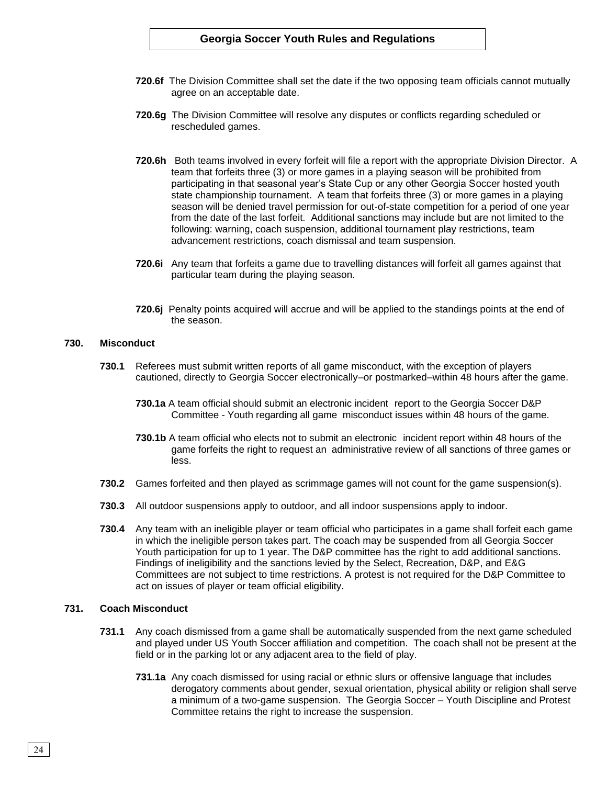- **720.6f** The Division Committee shall set the date if the two opposing team officials cannot mutually agree on an acceptable date.
- **720.6g** The Division Committee will resolve any disputes or conflicts regarding scheduled or rescheduled games.
- **720.6h** Both teams involved in every forfeit will file a report with the appropriate Division Director. A team that forfeits three (3) or more games in a playing season will be prohibited from participating in that seasonal year's State Cup or any other Georgia Soccer hosted youth state championship tournament. A team that forfeits three (3) or more games in a playing season will be denied travel permission for out-of-state competition for a period of one year from the date of the last forfeit. Additional sanctions may include but are not limited to the following: warning, coach suspension, additional tournament play restrictions, team advancement restrictions, coach dismissal and team suspension.
- **720.6i** Any team that forfeits a game due to travelling distances will forfeit all games against that particular team during the playing season.
- **720.6j** Penalty points acquired will accrue and will be applied to the standings points at the end of the season.

#### **730. Misconduct**

- **730.1** Referees must submit written reports of all game misconduct, with the exception of players cautioned, directly to Georgia Soccer electronically–or postmarked–within 48 hours after the game.
	- **730.1a** A team official should submit an electronic incident report to the Georgia Soccer D&P Committee - Youth regarding all game misconduct issues within 48 hours of the game.
	- **730.1b** A team official who elects not to submit an electronic incident report within 48 hours of the game forfeits the right to request an administrative review of all sanctions of three games or less.
- **730.2** Games forfeited and then played as scrimmage games will not count for the game suspension(s).
- **730.3** All outdoor suspensions apply to outdoor, and all indoor suspensions apply to indoor.
- **730.4** Any team with an ineligible player or team official who participates in a game shall forfeit each game in which the ineligible person takes part. The coach may be suspended from all Georgia Soccer Youth participation for up to 1 year. The D&P committee has the right to add additional sanctions. Findings of ineligibility and the sanctions levied by the Select, Recreation, D&P, and E&G Committees are not subject to time restrictions. A protest is not required for the D&P Committee to act on issues of player or team official eligibility.

#### **731. Coach Misconduct**

- **731.1** Any coach dismissed from a game shall be automatically suspended from the next game scheduled and played under US Youth Soccer affiliation and competition. The coach shall not be present at the field or in the parking lot or any adjacent area to the field of play.
	- **731.1a** Any coach dismissed for using racial or ethnic slurs or offensive language that includes derogatory comments about gender, sexual orientation, physical ability or religion shall serve a minimum of a two-game suspension. The Georgia Soccer – Youth Discipline and Protest Committee retains the right to increase the suspension.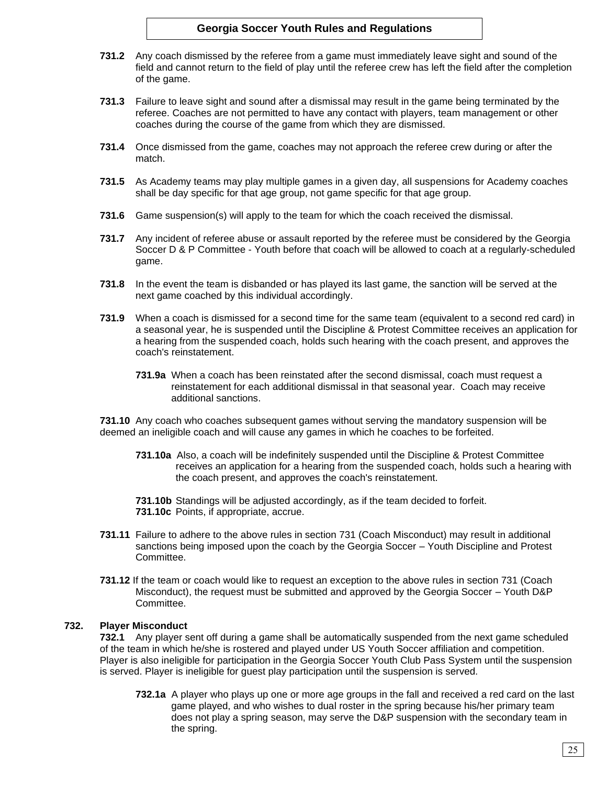- **731.2** Any coach dismissed by the referee from a game must immediately leave sight and sound of the field and cannot return to the field of play until the referee crew has left the field after the completion of the game.
- **731.3** Failure to leave sight and sound after a dismissal may result in the game being terminated by the referee. Coaches are not permitted to have any contact with players, team management or other coaches during the course of the game from which they are dismissed.
- **731.4** Once dismissed from the game, coaches may not approach the referee crew during or after the match.
- **731.5** As Academy teams may play multiple games in a given day, all suspensions for Academy coaches shall be day specific for that age group, not game specific for that age group.
- **731.6** Game suspension(s) will apply to the team for which the coach received the dismissal.
- **731.7** Any incident of referee abuse or assault reported by the referee must be considered by the Georgia Soccer D & P Committee - Youth before that coach will be allowed to coach at a regularly-scheduled game.
- **731.8** In the event the team is disbanded or has played its last game, the sanction will be served at the next game coached by this individual accordingly.
- **731.9** When a coach is dismissed for a second time for the same team (equivalent to a second red card) in a seasonal year, he is suspended until the Discipline & Protest Committee receives an application for a hearing from the suspended coach, holds such hearing with the coach present, and approves the coach's reinstatement.
	- **731.9a** When a coach has been reinstated after the second dismissal, coach must request a reinstatement for each additional dismissal in that seasonal year. Coach may receive additional sanctions.

**731.10** Any coach who coaches subsequent games without serving the mandatory suspension will be deemed an ineligible coach and will cause any games in which he coaches to be forfeited.

**731.10a** Also, a coach will be indefinitely suspended until the Discipline & Protest Committee receives an application for a hearing from the suspended coach, holds such a hearing with the coach present, and approves the coach's reinstatement.

**731.10b** Standings will be adjusted accordingly, as if the team decided to forfeit. **731.10c** Points, if appropriate, accrue.

- **731.11** Failure to adhere to the above rules in section 731 (Coach Misconduct) may result in additional sanctions being imposed upon the coach by the Georgia Soccer – Youth Discipline and Protest Committee.
- **731.12** If the team or coach would like to request an exception to the above rules in section 731 (Coach Misconduct), the request must be submitted and approved by the Georgia Soccer – Youth D&P Committee.

## **732. Player Misconduct**

**732.1** Any player sent off during a game shall be automatically suspended from the next game scheduled of the team in which he/she is rostered and played under US Youth Soccer affiliation and competition. Player is also ineligible for participation in the Georgia Soccer Youth Club Pass System until the suspension is served. Player is ineligible for guest play participation until the suspension is served.

**732.1a** A player who plays up one or more age groups in the fall and received a red card on the last game played, and who wishes to dual roster in the spring because his/her primary team does not play a spring season, may serve the D&P suspension with the secondary team in the spring.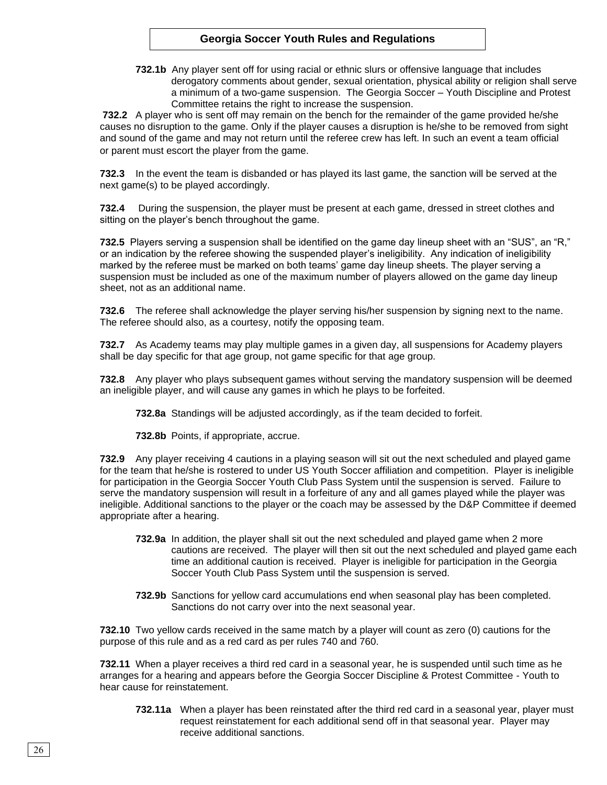**732.1b** Any player sent off for using racial or ethnic slurs or offensive language that includes derogatory comments about gender, sexual orientation, physical ability or religion shall serve a minimum of a two-game suspension. The Georgia Soccer – Youth Discipline and Protest Committee retains the right to increase the suspension.

**732.2** A player who is sent off may remain on the bench for the remainder of the game provided he/she causes no disruption to the game. Only if the player causes a disruption is he/she to be removed from sight and sound of the game and may not return until the referee crew has left. In such an event a team official or parent must escort the player from the game.

**732.3** In the event the team is disbanded or has played its last game, the sanction will be served at the next game(s) to be played accordingly.

**732.4** During the suspension, the player must be present at each game, dressed in street clothes and sitting on the player's bench throughout the game.

**732.5** Players serving a suspension shall be identified on the game day lineup sheet with an "SUS", an "R," or an indication by the referee showing the suspended player's ineligibility. Any indication of ineligibility marked by the referee must be marked on both teams' game day lineup sheets. The player serving a suspension must be included as one of the maximum number of players allowed on the game day lineup sheet, not as an additional name.

**732.6** The referee shall acknowledge the player serving his/her suspension by signing next to the name. The referee should also, as a courtesy, notify the opposing team.

**732.7** As Academy teams may play multiple games in a given day, all suspensions for Academy players shall be day specific for that age group, not game specific for that age group.

**732.8** Any player who plays subsequent games without serving the mandatory suspension will be deemed an ineligible player, and will cause any games in which he plays to be forfeited.

**732.8a** Standings will be adjusted accordingly, as if the team decided to forfeit.

**732.8b** Points, if appropriate, accrue.

**732.9** Any player receiving 4 cautions in a playing season will sit out the next scheduled and played game for the team that he/she is rostered to under US Youth Soccer affiliation and competition. Player is ineligible for participation in the Georgia Soccer Youth Club Pass System until the suspension is served. Failure to serve the mandatory suspension will result in a forfeiture of any and all games played while the player was ineligible. Additional sanctions to the player or the coach may be assessed by the D&P Committee if deemed appropriate after a hearing.

- **732.9a** In addition, the player shall sit out the next scheduled and played game when 2 more cautions are received. The player will then sit out the next scheduled and played game each time an additional caution is received. Player is ineligible for participation in the Georgia Soccer Youth Club Pass System until the suspension is served.
- **732.9b** Sanctions for yellow card accumulations end when seasonal play has been completed. Sanctions do not carry over into the next seasonal year.

**732.10** Two yellow cards received in the same match by a player will count as zero (0) cautions for the purpose of this rule and as a red card as per rules 740 and 760.

**732.11** When a player receives a third red card in a seasonal year, he is suspended until such time as he arranges for a hearing and appears before the Georgia Soccer Discipline & Protest Committee - Youth to hear cause for reinstatement.

**732.11a** When a player has been reinstated after the third red card in a seasonal year, player must request reinstatement for each additional send off in that seasonal year. Player may receive additional sanctions.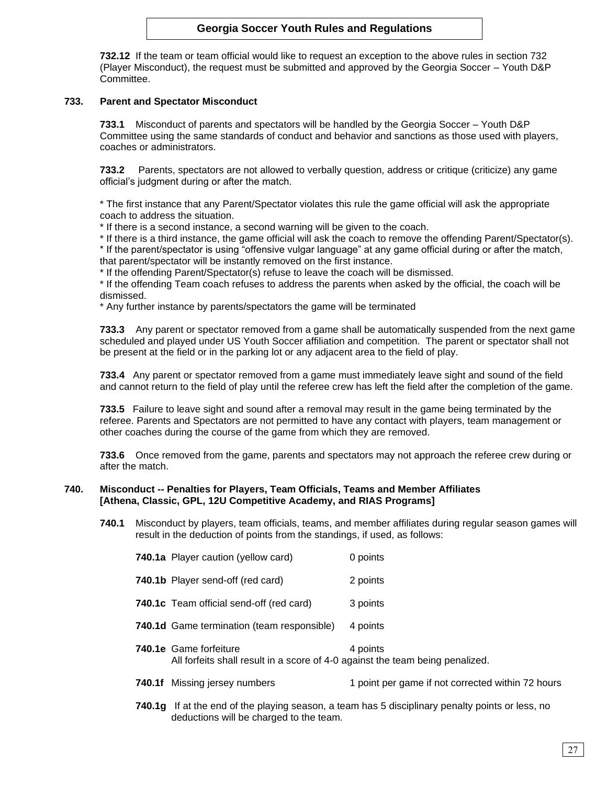**732.12** If the team or team official would like to request an exception to the above rules in section 732 (Player Misconduct), the request must be submitted and approved by the Georgia Soccer – Youth D&P Committee.

# **733. Parent and Spectator Misconduct**

**733.1** Misconduct of parents and spectators will be handled by the Georgia Soccer – Youth D&P Committee using the same standards of conduct and behavior and sanctions as those used with players, coaches or administrators.

**733.2** Parents, spectators are not allowed to verbally question, address or critique (criticize) any game official's judgment during or after the match.

\* The first instance that any Parent/Spectator violates this rule the game official will ask the appropriate coach to address the situation.

\* If there is a second instance, a second warning will be given to the coach.

\* If there is a third instance, the game official will ask the coach to remove the offending Parent/Spectator(s). \* If the parent/spectator is using "offensive vulgar language" at any game official during or after the match, that parent/spectator will be instantly removed on the first instance.

\* If the offending Parent/Spectator(s) refuse to leave the coach will be dismissed.

\* If the offending Team coach refuses to address the parents when asked by the official, the coach will be dismissed.

\* Any further instance by parents/spectators the game will be terminated

**733.3** Any parent or spectator removed from a game shall be automatically suspended from the next game scheduled and played under US Youth Soccer affiliation and competition. The parent or spectator shall not be present at the field or in the parking lot or any adjacent area to the field of play.

**733.4** Any parent or spectator removed from a game must immediately leave sight and sound of the field and cannot return to the field of play until the referee crew has left the field after the completion of the game.

**733.5** Failure to leave sight and sound after a removal may result in the game being terminated by the referee. Parents and Spectators are not permitted to have any contact with players, team management or other coaches during the course of the game from which they are removed.

**733.6** Once removed from the game, parents and spectators may not approach the referee crew during or after the match.

## **740. Misconduct -- Penalties for Players, Team Officials, Teams and Member Affiliates [Athena, Classic, GPL, 12U Competitive Academy, and RIAS Programs]**

**740.1** Misconduct by players, team officials, teams, and member affiliates during regular season games will result in the deduction of points from the standings, if used, as follows:

| 740.1a Player caution (yellow card)                                                                            | 0 points |
|----------------------------------------------------------------------------------------------------------------|----------|
| 740.1b Player send-off (red card)                                                                              | 2 points |
| 740.1c Team official send-off (red card)                                                                       | 3 points |
| 740.1d Game termination (team responsible)                                                                     | 4 points |
| <b>740.1e</b> Game forfeiture<br>All forfeits shall result in a score of 4-0 against the team being penalized. | 4 points |

**740.1f** Missing jersey numbers 1 point per game if not corrected within 72 hours

**740.1g** If at the end of the playing season, a team has 5 disciplinary penalty points or less, no deductions will be charged to the team.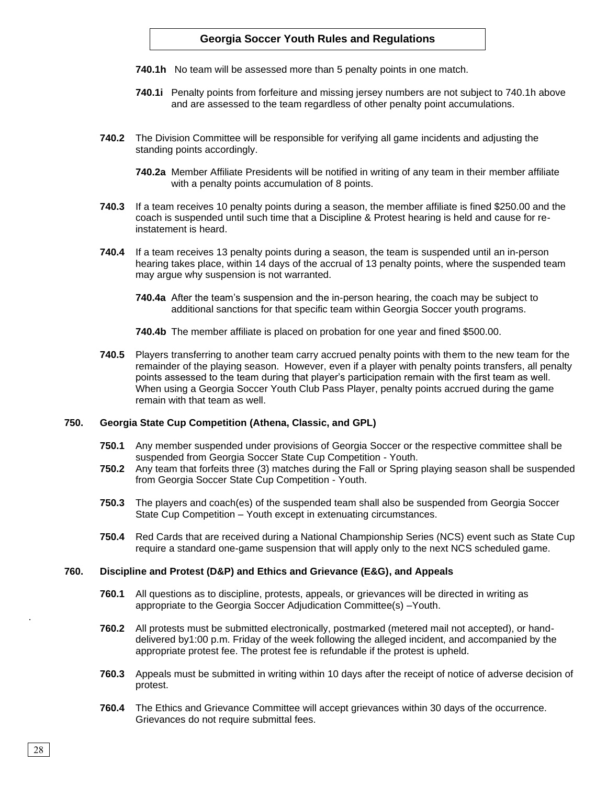- **740.1h** No team will be assessed more than 5 penalty points in one match.
- **740.1i** Penalty points from forfeiture and missing jersey numbers are not subject to 740.1h above and are assessed to the team regardless of other penalty point accumulations.
- **740.2** The Division Committee will be responsible for verifying all game incidents and adjusting the standing points accordingly.
	- **740.2a** Member Affiliate Presidents will be notified in writing of any team in their member affiliate with a penalty points accumulation of 8 points.
- **740.3** If a team receives 10 penalty points during a season, the member affiliate is fined \$250.00 and the coach is suspended until such time that a Discipline & Protest hearing is held and cause for reinstatement is heard.
- **740.4** If a team receives 13 penalty points during a season, the team is suspended until an in-person hearing takes place, within 14 days of the accrual of 13 penalty points, where the suspended team may argue why suspension is not warranted.
	- **740.4a** After the team's suspension and the in-person hearing, the coach may be subject to additional sanctions for that specific team within Georgia Soccer youth programs.
	- **740.4b** The member affiliate is placed on probation for one year and fined \$500.00.
- **740.5** Players transferring to another team carry accrued penalty points with them to the new team for the remainder of the playing season. However, even if a player with penalty points transfers, all penalty points assessed to the team during that player's participation remain with the first team as well. When using a Georgia Soccer Youth Club Pass Player, penalty points accrued during the game remain with that team as well.

## **750. Georgia State Cup Competition (Athena, Classic, and GPL)**

- **750.1** Any member suspended under provisions of Georgia Soccer or the respective committee shall be suspended from Georgia Soccer State Cup Competition - Youth.
- **750.2** Any team that forfeits three (3) matches during the Fall or Spring playing season shall be suspended from Georgia Soccer State Cup Competition - Youth.
- **750.3** The players and coach(es) of the suspended team shall also be suspended from Georgia Soccer State Cup Competition – Youth except in extenuating circumstances.
- **750.4** Red Cards that are received during a National Championship Series (NCS) event such as State Cup require a standard one-game suspension that will apply only to the next NCS scheduled game.

## **760. Discipline and Protest (D&P) and Ethics and Grievance (E&G), and Appeals**

- **760.1** All questions as to discipline, protests, appeals, or grievances will be directed in writing as appropriate to the Georgia Soccer Adjudication Committee(s) –Youth.
- **760.2** All protests must be submitted electronically, postmarked (metered mail not accepted), or handdelivered by1:00 p.m. Friday of the week following the alleged incident, and accompanied by the appropriate protest fee. The protest fee is refundable if the protest is upheld.
- **760.3** Appeals must be submitted in writing within 10 days after the receipt of notice of adverse decision of protest.
- **760.4** The Ethics and Grievance Committee will accept grievances within 30 days of the occurrence. Grievances do not require submittal fees.

.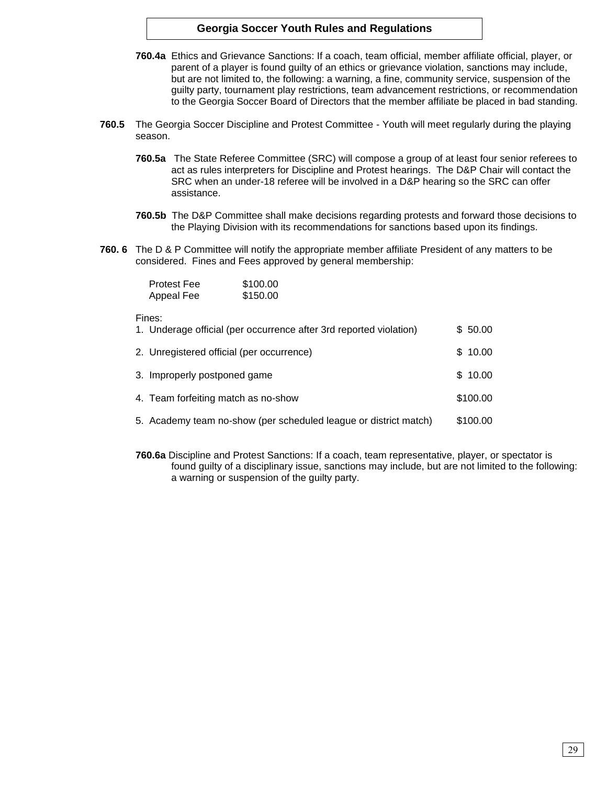- **760.4a** Ethics and Grievance Sanctions: If a coach, team official, member affiliate official, player, or parent of a player is found guilty of an ethics or grievance violation, sanctions may include, but are not limited to, the following: a warning, a fine, community service, suspension of the guilty party, tournament play restrictions, team advancement restrictions, or recommendation to the Georgia Soccer Board of Directors that the member affiliate be placed in bad standing.
- **760.5** The Georgia Soccer Discipline and Protest Committee Youth will meet regularly during the playing season.
	- **760.5a** The State Referee Committee (SRC) will compose a group of at least four senior referees to act as rules interpreters for Discipline and Protest hearings. The D&P Chair will contact the SRC when an under-18 referee will be involved in a D&P hearing so the SRC can offer assistance.
	- **760.5b** The D&P Committee shall make decisions regarding protests and forward those decisions to the Playing Division with its recommendations for sanctions based upon its findings.
- **760. 6** The D & P Committee will notify the appropriate member affiliate President of any matters to be considered. Fines and Fees approved by general membership:

| <b>Protest Fee</b> | \$100.00 |
|--------------------|----------|
| Appeal Fee         | \$150.00 |

# Fines:

| гінсэ.<br>1. Underage official (per occurrence after 3rd reported violation) | \$50.00  |  |
|------------------------------------------------------------------------------|----------|--|
| 2. Unregistered official (per occurrence)                                    | \$10.00  |  |
| 3. Improperly postponed game                                                 | \$10.00  |  |
| 4. Team forfeiting match as no-show                                          | \$100.00 |  |
| 5. Academy team no-show (per scheduled league or district match)             | \$100.00 |  |

**760.6a** Discipline and Protest Sanctions: If a coach, team representative, player, or spectator is found guilty of a disciplinary issue, sanctions may include, but are not limited to the following: a warning or suspension of the guilty party.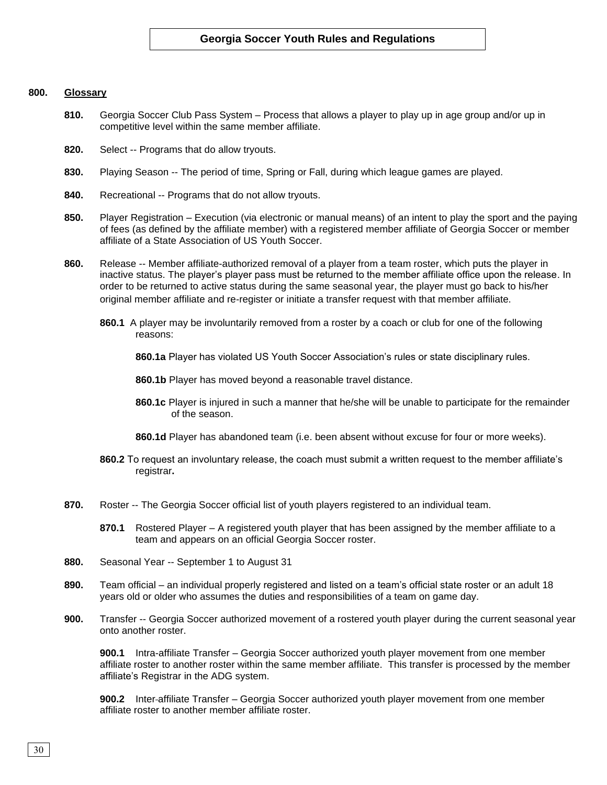# **800. Glossary**

- **810.** Georgia Soccer Club Pass System Process that allows a player to play up in age group and/or up in competitive level within the same member affiliate.
- **820.** Select -- Programs that do allow tryouts.
- **830.** Playing Season -- The period of time, Spring or Fall, during which league games are played.
- **840.** Recreational -- Programs that do not allow tryouts.
- **850.** Player Registration Execution (via electronic or manual means) of an intent to play the sport and the paying of fees (as defined by the affiliate member) with a registered member affiliate of Georgia Soccer or member affiliate of a State Association of US Youth Soccer.
- **860.** Release -- Member affiliate-authorized removal of a player from a team roster, which puts the player in inactive status. The player's player pass must be returned to the member affiliate office upon the release. In order to be returned to active status during the same seasonal year, the player must go back to his/her original member affiliate and re-register or initiate a transfer request with that member affiliate.
	- **860.1** A player may be involuntarily removed from a roster by a coach or club for one of the following reasons:

**860.1a** Player has violated US Youth Soccer Association's rules or state disciplinary rules.

**860.1b** Player has moved beyond a reasonable travel distance.

- **860.1c** Player is injured in such a manner that he/she will be unable to participate for the remainder of the season.
- **860.1d** Player has abandoned team (i.e. been absent without excuse for four or more weeks).
- **860.2** To request an involuntary release, the coach must submit a written request to the member affiliate's registrar**.**
- **870.** Roster -- The Georgia Soccer official list of youth players registered to an individual team.
	- **870.1** Rostered Player A registered youth player that has been assigned by the member affiliate to a team and appears on an official Georgia Soccer roster.
- **880.** Seasonal Year -- September 1 to August 31
- **890.** Team official an individual properly registered and listed on a team's official state roster or an adult 18 years old or older who assumes the duties and responsibilities of a team on game day.
- **900.** Transfer -- Georgia Soccer authorized movement of a rostered youth player during the current seasonal year onto another roster.

**900.1** Intra-affiliate Transfer – Georgia Soccer authorized youth player movement from one member affiliate roster to another roster within the same member affiliate. This transfer is processed by the member affiliate's Registrar in the ADG system.

**900.2** Inter affiliate Transfer – Georgia Soccer authorized youth player movement from one member affiliate roster to another member affiliate roster.